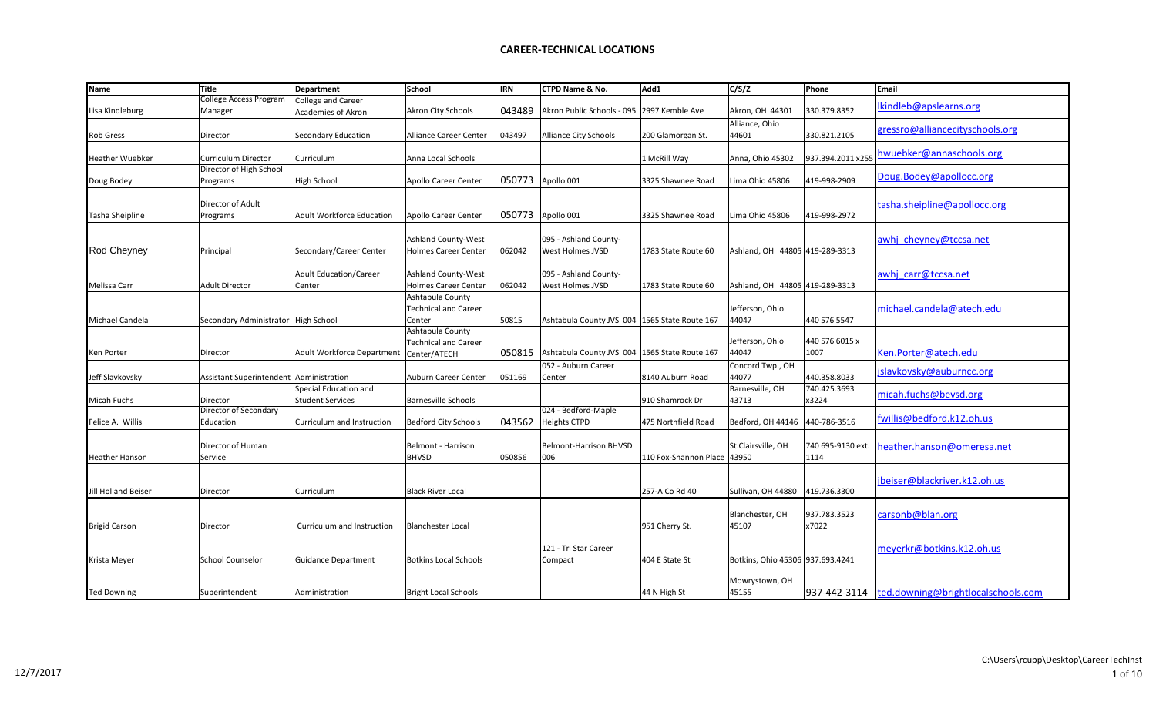| Name                 | <b>Title</b>                              | Department                        | School                                                    | <b>IRN</b> | CTPD Name & No.                                 | Add1                        | C/S/Z                            | Phone             | Email                              |
|----------------------|-------------------------------------------|-----------------------------------|-----------------------------------------------------------|------------|-------------------------------------------------|-----------------------------|----------------------------------|-------------------|------------------------------------|
|                      | College Access Program                    | <b>College and Career</b>         |                                                           |            |                                                 |                             |                                  |                   | lkindleb@apslearns.org             |
| Lisa Kindleburg      | Manager                                   | Academies of Akron                | Akron City Schools                                        | 043489     | Akron Public Schools - 095                      | 2997 Kemble Ave             | Akron, OH 44301                  | 330.379.8352      |                                    |
|                      |                                           |                                   |                                                           |            |                                                 |                             | Alliance, Ohio                   |                   | gressro@alliancecityschools.org    |
| Rob Gress            | Director                                  | Secondary Education               | Alliance Career Center                                    | 043497     | <b>Alliance City Schools</b>                    | 200 Glamorgan St.           | 44601                            | 330.821.2105      |                                    |
|                      | Curriculum Director                       | Curriculum                        | Anna Local Schools                                        |            |                                                 |                             |                                  |                   | hwuebker@annaschools.org           |
| Heather Wuebker      | Director of High School                   |                                   |                                                           |            |                                                 | 1 McRill Way                | Anna, Ohio 45302                 | 937.394.2011 x255 |                                    |
| Doug Bodey           | Programs                                  | High School                       | <b>Apollo Career Center</b>                               | 050773     | Apollo 001                                      | 3325 Shawnee Road           | Lima Ohio 45806                  | 419-998-2909      | Doug.Bodey@apollocc.org            |
|                      |                                           |                                   |                                                           |            |                                                 |                             |                                  |                   |                                    |
|                      | Director of Adult                         |                                   |                                                           |            |                                                 |                             |                                  |                   | tasha.sheipline@apollocc.org       |
| Tasha Sheipline      | Programs                                  | <b>Adult Workforce Education</b>  | Apollo Career Center                                      | 050773     | Apollo 001                                      | 3325 Shawnee Road           | Lima Ohio 45806                  | 419-998-2972      |                                    |
|                      |                                           |                                   |                                                           |            |                                                 |                             |                                  |                   |                                    |
|                      |                                           |                                   | <b>Ashland County-West</b>                                |            | 095 - Ashland County-                           |                             |                                  |                   | awhj cheyney@tccsa.net             |
| Rod Cheyney          | Principal                                 | Secondary/Career Center           | <b>Holmes Career Center</b>                               | 062042     | West Holmes JVSD                                | 1783 State Route 60         | Ashland, OH 44805 419-289-3313   |                   |                                    |
|                      |                                           |                                   |                                                           |            |                                                 |                             |                                  |                   |                                    |
| Melissa Carr         | <b>Adult Director</b>                     | Adult Education/Career<br>Center  | <b>Ashland County-West</b><br><b>Holmes Career Center</b> | 062042     | 095 - Ashland County-<br>West Holmes JVSD       | 1783 State Route 60         | Ashland, OH 44805 419-289-3313   |                   | awhj carr@tccsa.net                |
|                      |                                           |                                   | Ashtabula County                                          |            |                                                 |                             |                                  |                   |                                    |
|                      |                                           |                                   | <b>Technical and Career</b>                               |            |                                                 |                             | Jefferson, Ohio                  |                   | michael.candela@atech.edu          |
| Michael Candela      | Secondary Administrator   High School     |                                   | Center                                                    | 50815      | Ashtabula County JVS 004   1565 State Route 167 |                             | 44047                            | 440 576 5547      |                                    |
|                      |                                           |                                   | Ashtabula County                                          |            |                                                 |                             |                                  |                   |                                    |
|                      |                                           |                                   | <b>Technical and Career</b>                               |            |                                                 |                             | Jefferson, Ohio                  | 440 576 6015 x    |                                    |
| Ken Porter           | Director                                  | <b>Adult Workforce Department</b> | Center/ATECH                                              | 050815     | Ashtabula County JVS 004   1565 State Route 167 |                             | 44047                            | 1007              | Ken.Porter@atech.edu               |
|                      |                                           |                                   |                                                           |            | 052 - Auburn Career                             |                             | Concord Twp., OH                 |                   | jslavkovsky@auburncc.org           |
| Jeff Slavkovsky      | Assistant Superintendent   Administration |                                   | Auburn Career Center                                      | 051169     | Center                                          | 8140 Auburn Road            | 44077                            | 440.358.8033      |                                    |
|                      |                                           | Special Education and             |                                                           |            |                                                 |                             | Barnesville, OH                  | 740.425.3693      | micah.fuchs@bevsd.org              |
| Micah Fuchs          | Director                                  | <b>Student Services</b>           | <b>Barnesville Schools</b>                                |            |                                                 | 910 Shamrock Dr             | 43713                            | x3224             |                                    |
|                      | Director of Secondary                     |                                   |                                                           |            | 024 - Bedford-Maple                             |                             |                                  |                   | fwillis@bedford.k12.oh.us          |
| Felice A. Willis     | Education                                 | Curriculum and Instruction        | <b>Bedford City Schools</b>                               | 043562     | <b>Heights CTPD</b>                             | 475 Northfield Road         | Bedford, OH 44146                | 440-786-3516      |                                    |
|                      | Director of Human                         |                                   | Belmont - Harrison                                        |            | <b>Belmont-Harrison BHVSD</b>                   |                             | St.Clairsville, OH               | 740 695-9130 ext. |                                    |
| Heather Hanson       | Service                                   |                                   | <b>BHVSD</b>                                              | 050856     | 006                                             | 110 Fox-Shannon Place 43950 |                                  | 1114              | heather.hanson@omeresa.net         |
|                      |                                           |                                   |                                                           |            |                                                 |                             |                                  |                   |                                    |
|                      |                                           |                                   |                                                           |            |                                                 |                             |                                  |                   | jbeiser@blackriver.k12.oh.us       |
| Jill Holland Beiser  | Director                                  | Curriculum                        | <b>Black River Local</b>                                  |            |                                                 | 257-A Co Rd 40              | Sullivan, OH 44880               | 419.736.3300      |                                    |
|                      |                                           |                                   |                                                           |            |                                                 |                             |                                  |                   |                                    |
|                      |                                           |                                   |                                                           |            |                                                 |                             | Blanchester, OH                  | 937.783.3523      | carsonb@blan.org                   |
| <b>Brigid Carson</b> | Director                                  | Curriculum and Instruction        | <b>Blanchester Local</b>                                  |            |                                                 | 951 Cherry St.              | 45107                            | x7022             |                                    |
|                      |                                           |                                   |                                                           |            |                                                 |                             |                                  |                   |                                    |
|                      |                                           |                                   |                                                           |            | 121 - Tri Star Career                           |                             |                                  |                   | meyerkr@botkins.k12.oh.us          |
| Krista Meyer         | <b>School Counselor</b>                   | <b>Guidance Department</b>        | <b>Botkins Local Schools</b>                              |            | Compact                                         | 404 E State St              | Botkins, Ohio 45306 937.693.4241 |                   |                                    |
|                      |                                           |                                   |                                                           |            |                                                 |                             | Mowrystown, OH                   |                   |                                    |
| <b>Ted Downing</b>   | Superintendent                            | Administration                    | <b>Bright Local Schools</b>                               |            |                                                 | 44 N High St                | 45155                            | 937-442-3114      | ted.downing@brightlocalschools.com |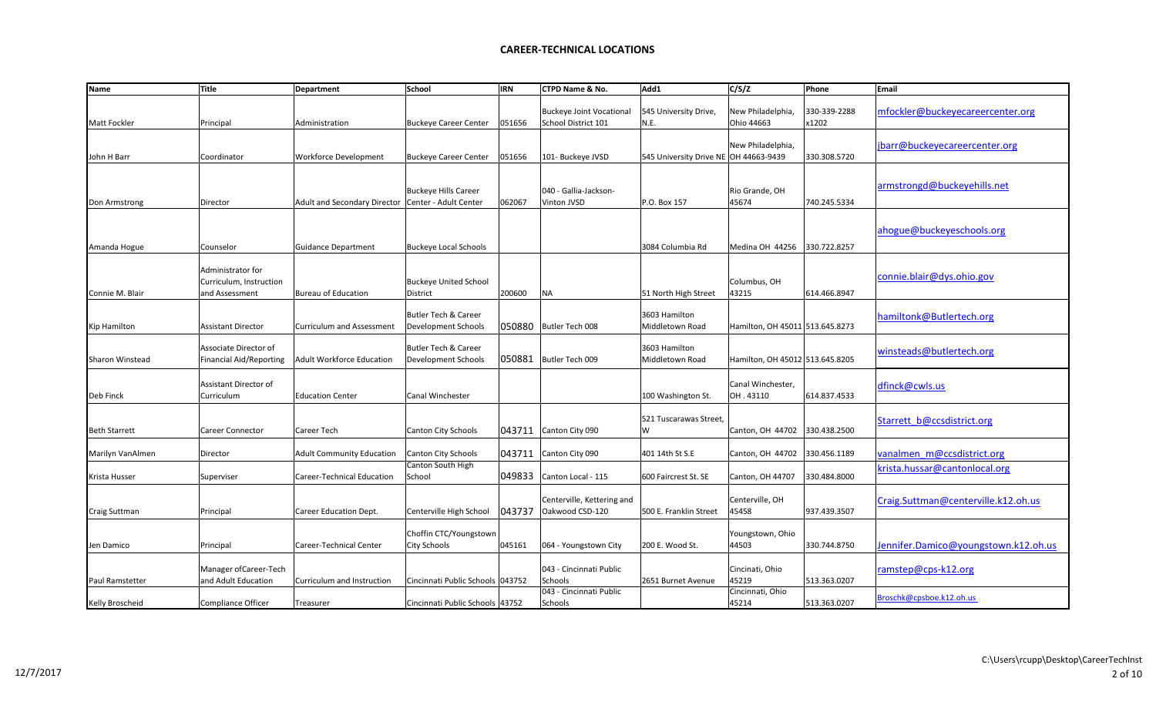| <b>Name</b>          | <b>Title</b>                                                   | <b>Department</b>                                    | School                                                 | <b>IRN</b> | CTPD Name & No.                                        | Add1                                  | C/S/Z                           | Phone                 | Email                                |
|----------------------|----------------------------------------------------------------|------------------------------------------------------|--------------------------------------------------------|------------|--------------------------------------------------------|---------------------------------------|---------------------------------|-----------------------|--------------------------------------|
| <b>Matt Fockler</b>  | Principal                                                      | Administration                                       | <b>Buckeye Career Center</b>                           | 051656     | <b>Buckeye Joint Vocational</b><br>School District 101 | 545 University Drive,<br>N.E.         | New Philadelphia,<br>Ohio 44663 | 330-339-2288<br>x1202 | mfockler@buckeyecareercenter.org     |
| John H Barr          | Coordinator                                                    | <b>Workforce Development</b>                         | <b>Buckeye Career Center</b>                           | 051656     | 101- Buckeye JVSD                                      | 545 University Drive NE OH 44663-9439 | New Philadelphia,               | 330.308.5720          | jbarr@buckeyecareercenter.org        |
| Don Armstrong        | Director                                                       | Adult and Secondary Director   Center - Adult Center | <b>Buckeye Hills Career</b>                            | 062067     | 040 - Gallia-Jackson-<br>Vinton JVSD                   | P.O. Box 157                          | Rio Grande, OH<br>45674         | 740.245.5334          | armstrongd@buckeyehills.net          |
| Amanda Hogue         | Counselor                                                      | <b>Guidance Department</b>                           | <b>Buckeye Local Schools</b>                           |            |                                                        | 3084 Columbia Rd                      | Medina OH 44256                 | 330.722.8257          | ahogue@buckeyeschools.org            |
| Connie M. Blair      | Administrator for<br>Curriculum, Instruction<br>and Assessment | Bureau of Education                                  | <b>Buckeye United School</b><br>District               | 200600     | NA                                                     | 51 North High Street                  | Columbus, OH<br>43215           | 614.466.8947          | connie.blair@dys.ohio.gov            |
| <b>Kip Hamilton</b>  | <b>Assistant Director</b>                                      | <b>Curriculum and Assessment</b>                     | <b>Butler Tech &amp; Career</b><br>Development Schools | 050880     | Butler Tech 008                                        | 3603 Hamilton<br>Middletown Road      | Hamilton, OH 45011 513.645.8273 |                       | hamiltonk@Butlertech.org             |
| Sharon Winstead      | Associate Director of<br><b>Financial Aid/Reporting</b>        | Adult Workforce Education                            | <b>Butler Tech &amp; Career</b><br>Development Schools | 050881     | Butler Tech 009                                        | 3603 Hamilton<br>Middletown Road      | Hamilton, OH 45012 513.645.8205 |                       | winsteads@butlertech.org             |
| Deb Finck            | Assistant Director of<br>Curriculum                            | <b>Education Center</b>                              | Canal Winchester                                       |            |                                                        | 100 Washington St.                    | lCanal Winchester.<br>OH.43110  | 614.837.4533          | dfinck@cwls.us                       |
| <b>Beth Starrett</b> | Career Connector                                               | Career Tech                                          | Canton City Schools                                    | 043711     | Canton City 090                                        | 521 Tuscarawas Street,<br>W           | Canton, OH 44702                | 330.438.2500          | Starrett b@ccsdistrict.org           |
| Marilyn VanAlmen     | Director                                                       | <b>Adult Community Education</b>                     | Canton City Schools                                    | 043711     | Canton City 090                                        | 401 14th St S.E                       | Canton, OH 44702                | 330.456.1189          | vanalmen m@ccsdistrict.org           |
| Krista Husser        | Superviser                                                     | Career-Technical Education                           | Canton South High<br>School                            | 049833     | Canton Local - 115                                     | 600 Faircrest St. SE                  | Canton, OH 44707                | 330.484.8000          | krista.hussar@cantonlocal.org        |
| Craig Suttman        | Principal                                                      | Career Education Dept.                               | Centerville High School                                | 043737     | Centerville, Kettering and<br>Oakwood CSD-120          | 500 E. Franklin Street                | Centerville, OH<br>45458        | 937.439.3507          | Craig.Suttman@centerville.k12.oh.us  |
| Jen Damico           | Principal                                                      | Career-Technical Center                              | Choffin CTC/Youngstown<br>City Schools                 | 045161     | 064 - Youngstown City                                  | 200 E. Wood St.                       | Youngstown, Ohio<br>44503       | 330.744.8750          | Jennifer.Damico@youngstown.k12.oh.us |
| Paul Ramstetter      | Manager of Career-Tech<br>and Adult Education                  | Curriculum and Instruction                           | Cincinnati Public Schools   043752                     |            | 043 - Cincinnati Public<br>Schools                     | 2651 Burnet Avenue                    | Cincinati, Ohio<br>45219        | 513.363.0207          | ramstep@cps-k12.org                  |
| Kelly Broscheid      | Compliance Officer                                             | Treasurer                                            | Cincinnati Public Schools 43752                        |            | 043 - Cincinnati Public<br>Schools                     |                                       | Cincinnati, Ohio<br>45214       | 513.363.0207          | Broschk@cpsboe.k12.oh.us             |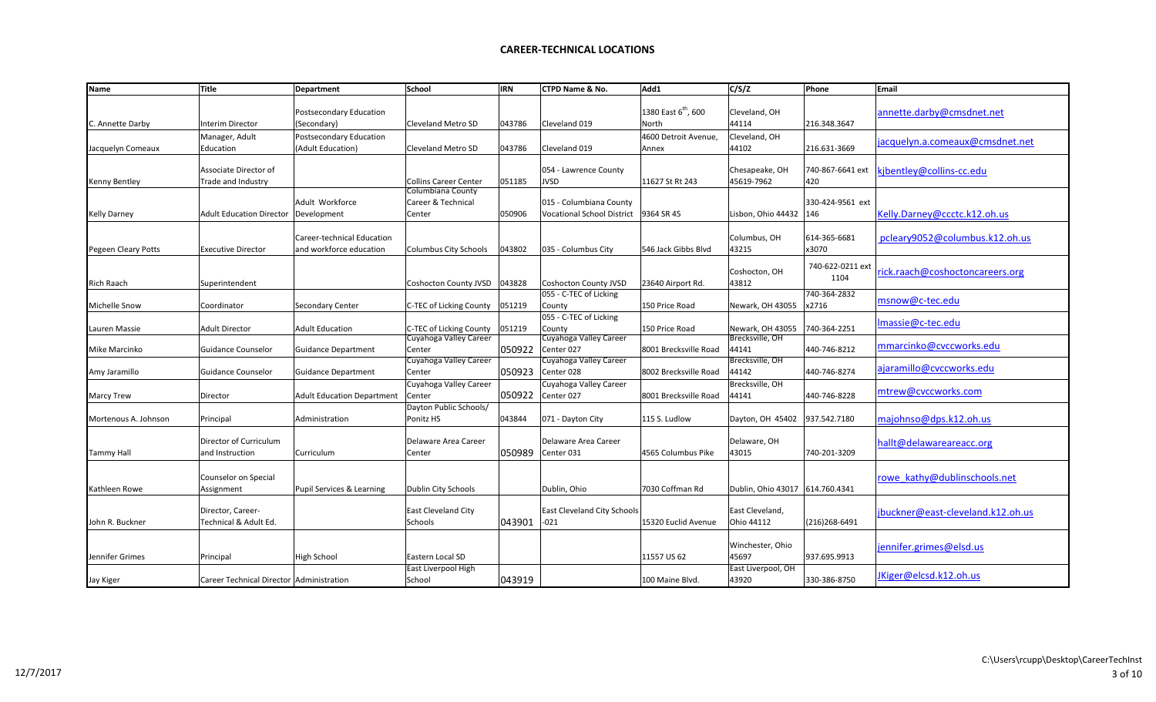| Name                 | <b>Title</b>                             | <b>Department</b>                    | School                                  | <b>IRN</b> | CTPD Name & No.                    | Add1                            | C/S/Z              | Phone            | Email                             |
|----------------------|------------------------------------------|--------------------------------------|-----------------------------------------|------------|------------------------------------|---------------------------------|--------------------|------------------|-----------------------------------|
|                      |                                          | Postsecondary Education              |                                         |            |                                    | 1380 East 6 <sup>th</sup> , 600 | Cleveland, OH      |                  | annette.darby@cmsdnet.net         |
| C. Annette Darby     | <b>Interim Director</b>                  | (Secondary)                          | <b>Cleveland Metro SD</b>               | 043786     | Cleveland 019                      | North                           | 44114              | 216.348.3647     |                                   |
|                      | Manager, Adult                           | <b>Postsecondary Education</b>       |                                         |            |                                    | 4600 Detroit Avenue,            | Cleveland, OH      |                  |                                   |
| Jacquelyn Comeaux    | Education                                | (Adult Education)                    | Cleveland Metro SD                      | 043786     | Cleveland 019                      | Annex                           | 44102              | 216.631-3669     | jacquelyn.a.comeaux@cmsdnet.net   |
|                      |                                          |                                      |                                         |            |                                    |                                 |                    |                  |                                   |
|                      | Associate Director of                    |                                      |                                         |            | 054 - Lawrence County              |                                 | Chesapeake, OH     | 740-867-6641 ext | kjbentley@collins-cc.edu          |
| Kenny Bentley        | Trade and Industry                       |                                      | <b>Collins Career Center</b>            | 051185     | <b>JVSD</b>                        | 11627 St Rt 243                 | 45619-7962         | 420              |                                   |
|                      |                                          | Adult Workforce                      | Columbiana County<br>Career & Technical |            | 015 - Columbiana County            |                                 |                    | 330-424-9561 ext |                                   |
| <b>Kelly Darney</b>  | Adult Education Director   Development   |                                      | Center                                  | 050906     | <b>Vocational School District</b>  | 9364 SR 45                      | Lisbon, Ohio 44432 | 146              | Kelly.Darney@ccctc.k12.oh.us      |
|                      |                                          |                                      |                                         |            |                                    |                                 |                    |                  |                                   |
|                      |                                          | Career-technical Education           |                                         |            |                                    |                                 | Columbus, OH       | 614-365-6681     | pcleary9052@columbus.k12.oh.us    |
| Pegeen Cleary Potts  | <b>Executive Director</b>                | and workforce education              | Columbus City Schools                   | 043802     | 035 - Columbus City                | 546 Jack Gibbs Blvd             | 43215              | x3070            |                                   |
|                      |                                          |                                      |                                         |            |                                    |                                 |                    |                  |                                   |
|                      |                                          |                                      |                                         |            |                                    |                                 | Coshocton, OH      | 740-622-0211 ext | rick.raach@coshoctoncareers.org   |
| Rich Raach           | Superintendent                           |                                      | Coshocton County JVSD   043828          |            | <b>Coshocton County JVSD</b>       | 23640 Airport Rd.               | 43812              | 1104             |                                   |
|                      |                                          |                                      |                                         |            | 055 - C-TEC of Licking             |                                 |                    | 740-364-2832     |                                   |
| Michelle Snow        | Coordinator                              | <b>Secondary Center</b>              | C-TEC of Licking County                 | 051219     | County                             | 150 Price Road                  | Newark, OH 43055   | x2716            | msnow@c-tec.edu                   |
|                      |                                          |                                      |                                         |            | 055 - C-TEC of Licking             |                                 |                    |                  | Imassie@c-tec.edu                 |
| Lauren Massie        | <b>Adult Director</b>                    | <b>Adult Education</b>               | C-TEC of Licking County                 | 051219     | County                             | 150 Price Road                  | Newark, OH 43055   | 740-364-2251     |                                   |
|                      |                                          |                                      | Cuyahoga Valley Career                  |            | Cuyahoga Valley Career             |                                 | Brecksville, OH    |                  | mmarcinko@cvccworks.edu           |
| Mike Marcinko        | Guidance Counselor                       | <b>Guidance Department</b>           | Center                                  | 050922     | Center 027                         | 8001 Brecksville Road           | 44141              | 440-746-8212     |                                   |
|                      |                                          |                                      | Cuyahoga Valley Career                  |            | Cuyahoga Valley Career             |                                 | Brecksville, OH    |                  | ajaramillo@cvccworks.edu          |
| Amy Jaramillo        | Guidance Counselor                       | <b>Guidance Department</b>           | Center                                  | 050923     | Center 028                         | 8002 Brecksville Road           | 44142              | 440-746-8274     |                                   |
|                      |                                          |                                      | Cuyahoga Valley Career                  |            | Cuyahoga Valley Career             |                                 | Brecksville, OH    |                  | mtrew@cvccworks.com               |
| Marcy Trew           | Director                                 | <b>Adult Education Department</b>    | Center                                  | 050922     | Center 027                         | 8001 Brecksville Road           | 44141              | 440-746-8228     |                                   |
|                      |                                          |                                      | Dayton Public Schools/                  |            |                                    |                                 |                    |                  |                                   |
| Mortenous A. Johnson | Principal                                | Administration                       | Ponitz HS                               | 043844     | 071 - Dayton City                  | 115 S. Ludlow                   | Dayton, OH 45402   | 937.542.7180     | majohnso@dps.k12.oh.us            |
|                      | Director of Curriculum                   |                                      | Delaware Area Career                    |            | Delaware Area Career               |                                 | Delaware, OH       |                  |                                   |
| <b>Tammy Hall</b>    | and Instruction                          | Curriculum                           | Center                                  | 050989     | Center 031                         | 4565 Columbus Pike              | 43015              | 740-201-3209     | hallt@delawareareacc.org          |
|                      |                                          |                                      |                                         |            |                                    |                                 |                    |                  |                                   |
|                      | Counselor on Special                     |                                      |                                         |            |                                    |                                 |                    |                  | rowe kathy@dublinschools.net      |
| Kathleen Rowe        | Assignment                               | <b>Pupil Services &amp; Learning</b> | Dublin City Schools                     |            | Dublin, Ohio                       | 7030 Coffman Rd                 | Dublin, Ohio 43017 | 614.760.4341     |                                   |
|                      |                                          |                                      |                                         |            |                                    |                                 |                    |                  |                                   |
|                      | Director, Career-                        |                                      | East Cleveland City                     |            | <b>East Cleveland City Schools</b> |                                 | East Cleveland,    |                  | jbuckner@east-cleveland.k12.oh.us |
| John R. Buckner      | Technical & Adult Ed.                    |                                      | Schools                                 | 043901     | $-021$                             | 15320 Euclid Avenue             | Ohio 44112         | (216)268-6491    |                                   |
|                      |                                          |                                      |                                         |            |                                    |                                 |                    |                  |                                   |
|                      |                                          |                                      |                                         |            |                                    |                                 | Winchester, Ohio   |                  | jennifer.grimes@elsd.us           |
| Jennifer Grimes      | Principal                                | High School                          | Eastern Local SD                        |            |                                    | 11557 US 62                     | 45697              | 937.695.9913     |                                   |
|                      |                                          |                                      | East Liverpool High                     |            |                                    |                                 | East Liverpool, OH |                  |                                   |
| Jay Kiger            | Career Technical Director Administration |                                      | School                                  | 043919     |                                    | 100 Maine Blvd.                 | 43920              | 330-386-8750     | JKiger@elcsd.k12.oh.us            |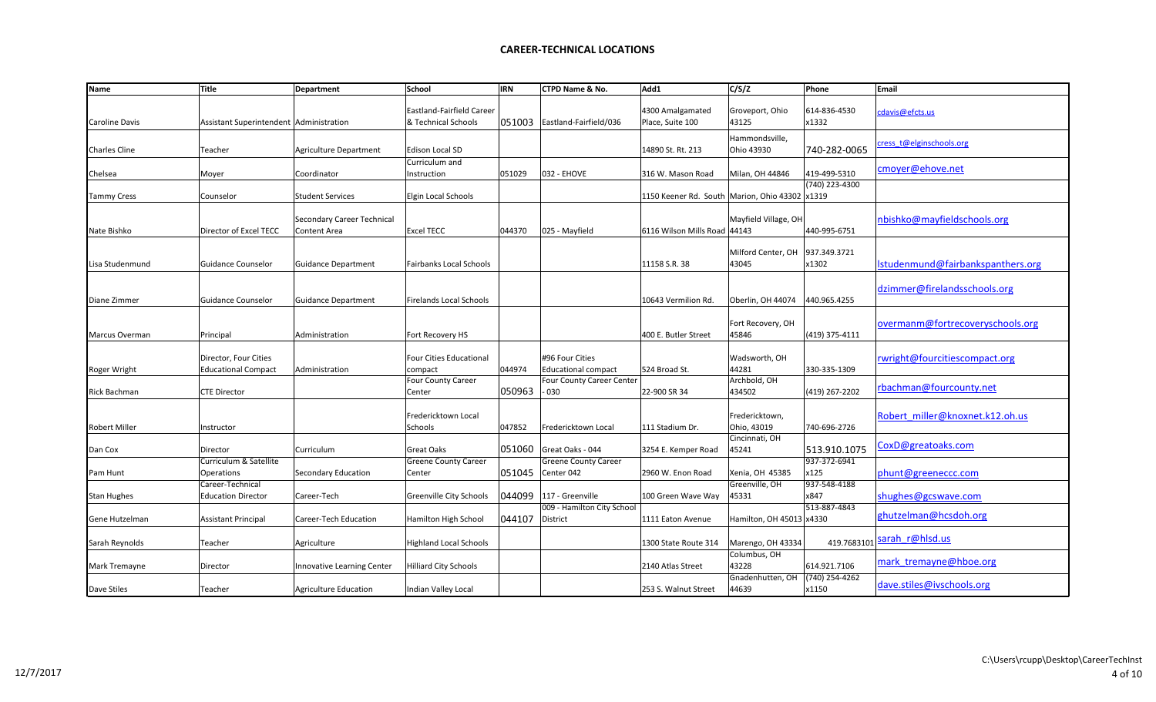| <b>Name</b>        | Title                                               | Department                                 | <b>School</b>                                    | <b>IRN</b> | <b>CTPD Name &amp; No.</b>                    | Add1                                       | C/S/Z                         | Phone                   | Email                             |
|--------------------|-----------------------------------------------------|--------------------------------------------|--------------------------------------------------|------------|-----------------------------------------------|--------------------------------------------|-------------------------------|-------------------------|-----------------------------------|
| Caroline Davis     | Assistant Superintendent   Administration           |                                            | Eastland-Fairfield Career<br>& Technical Schools | 051003     | Eastland-Fairfield/036                        | 4300 Amalgamated<br>Place, Suite 100       | Groveport, Ohio<br>43125      | 614-836-4530<br>x1332   | cdavis@efcts.us                   |
| Charles Cline      | Teacher                                             | <b>Agriculture Department</b>              | Edison Local SD                                  |            |                                               | 14890 St. Rt. 213                          | Hammondsville,<br>Ohio 43930  | 740-282-0065            | cress t@elginschools.org          |
| Chelsea            | Moyer                                               | Coordinator                                | Curriculum and<br>Instruction                    | 051029     | 032 - EHOVE                                   | 316 W. Mason Road                          | Milan, OH 44846               | 419-499-5310            | cmoyer@ehove.net                  |
| <b>Tammy Cress</b> | Counselor                                           | <b>Student Services</b>                    | Elgin Local Schools                              |            |                                               | 1150 Keener Rd. South   Marion, Ohio 43302 |                               | (740) 223-4300<br>x1319 |                                   |
| Nate Bishko        | Director of Excel TECC                              | Secondary Career Technical<br>Content Area | <b>Excel TECC</b>                                | 044370     | 025 - Mayfield                                | 6116 Wilson Mills Road 44143               | Mayfield Village, OH          | 440-995-6751            | nbishko@mayfieldschools.org       |
| Lisa Studenmund    | <b>Guidance Counselor</b>                           | Guidance Department                        | <b>Fairbanks Local Schools</b>                   |            |                                               | 11158 S.R. 38                              | Milford Center, OH<br>43045   | 937.349.3721<br>x1302   | Istudenmund@fairbankspanthers.org |
| Diane Zimmer       | Guidance Counselor                                  | Guidance Department                        | <b>Firelands Local Schools</b>                   |            |                                               | 10643 Vermilion Rd.                        | Oberlin, OH 44074             | 440.965.4255            | dzimmer@firelandsschools.org      |
| Marcus Overman     | Principal                                           | Administration                             | Fort Recovery HS                                 |            |                                               | 400 E. Butler Street                       | Fort Recovery, OH<br>45846    | (419) 375-4111          | overmanm@fortrecoveryschools.org  |
| Roger Wright       | Director, Four Cities<br><b>Educational Compact</b> | Administration                             | Four Cities Educational<br>compact               | 044974     | #96 Four Cities<br><b>Educational compact</b> | 524 Broad St.                              | Wadsworth, OH<br>44281        | 330-335-1309            | rwright@fourcitiescompact.org     |
| Rick Bachman       | <b>CTE Director</b>                                 |                                            | <b>Four County Career</b><br>Center              | 050963     | Four County Career Center<br>030              | 22-900 SR 34                               | Archbold, OH<br>434502        | (419) 267-2202          | rbachman@fourcounty.net           |
| Robert Miller      | Instructor                                          |                                            | Fredericktown Local<br>Schools                   | 047852     | Fredericktown Local                           | 111 Stadium Dr.                            | Fredericktown,<br>Ohio, 43019 | 740-696-2726            | Robert miller@knoxnet.k12.oh.us   |
| Dan Cox            | Director                                            | <b>Curriculum</b>                          | Great Oaks                                       | 051060     | Great Oaks - 044                              | 3254 E. Kemper Road                        | Cincinnati, OH<br>45241       | 513.910.1075            | CoxD@greatoaks.com                |
| Pam Hunt           | Curriculum & Satellite<br>Operations                | Secondary Education                        | <b>Greene County Career</b><br>Center            | 051045     | <b>Greene County Career</b><br>Center 042     | 2960 W. Enon Road                          | Xenia, OH 45385               | 937-372-6941<br>x125    | phunt@greeneccc.com               |
| <b>Stan Hughes</b> | Career-Technical<br><b>Education Director</b>       | Career-Tech                                | Greenville City Schools                          | 044099     | 117 - Greenville                              | 100 Green Wave Way                         | Greenville, OH<br>45331       | 937-548-4188<br>x847    | shughes@gcswave.com               |
| Gene Hutzelman     | <b>Assistant Principal</b>                          | Career-Tech Education                      | Hamilton High School                             | 044107     | 009 - Hamilton City School<br><b>District</b> | 1111 Eaton Avenue                          | Hamilton, OH 45013 x4330      | 513-887-4843            | ghutzelman@hcsdoh.org             |
| Sarah Reynolds     | Teacher                                             | Agriculture                                | <b>Highland Local Schools</b>                    |            |                                               | 1300 State Route 314                       | Marengo, OH 43334             | 419.7683101             | sarah r@hlsd.us                   |
| Mark Tremayne      | Director                                            | Innovative Learning Center                 | <b>Hilliard City Schools</b>                     |            |                                               | 2140 Atlas Street                          | Columbus, OH<br>43228         | 614.921.7106            | mark tremayne@hboe.org            |
| Dave Stiles        | Teacher                                             | Agriculture Education                      | Indian Valley Local                              |            |                                               | 253 S. Walnut Street                       | Gnadenhutten, OH<br>44639     | (740) 254-4262<br>x1150 | dave.stiles@ivschools.org         |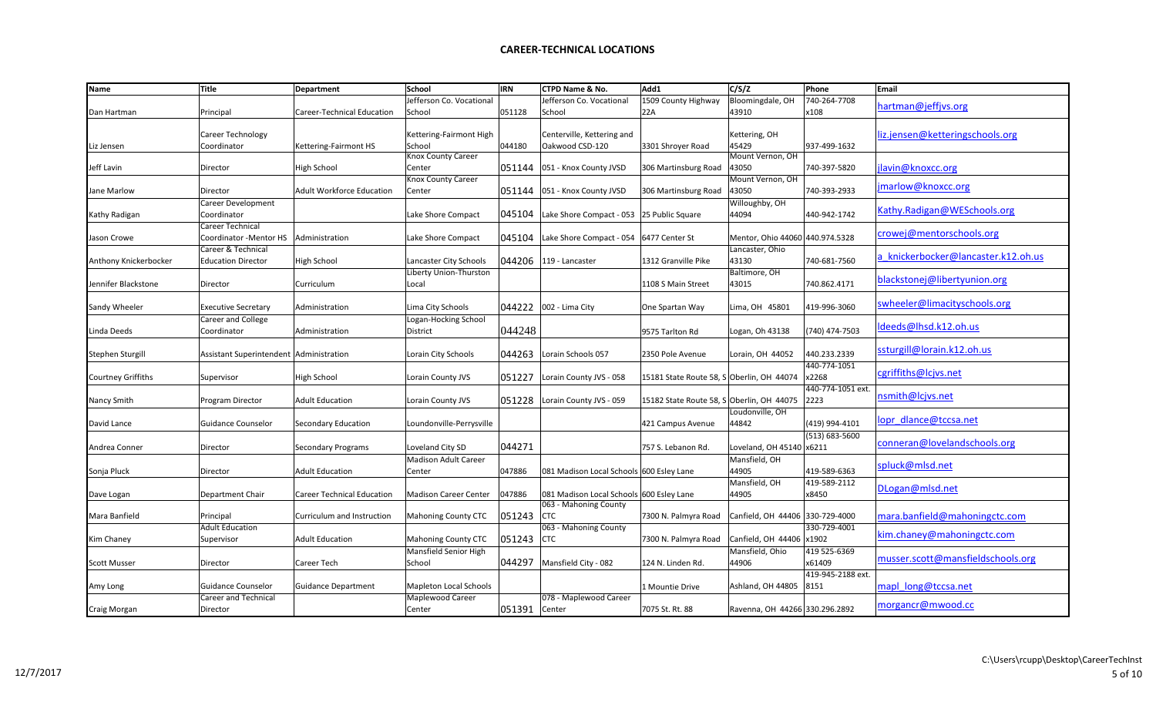| Name                  | <b>Title</b>                              | <b>Department</b>                 | <b>School</b>                 | <b>IRN</b> | CTPD Name & No.                          | Add1                                      | C/S/Z                           | Phone              | Email                               |
|-----------------------|-------------------------------------------|-----------------------------------|-------------------------------|------------|------------------------------------------|-------------------------------------------|---------------------------------|--------------------|-------------------------------------|
|                       |                                           |                                   | Jefferson Co. Vocational      |            | Jefferson Co. Vocational                 | 1509 County Highway                       | Bloomingdale, OH                | 740-264-7708       |                                     |
| Dan Hartman           | Principal                                 | Career-Technical Education        | School                        | 051128     | School                                   | 22A                                       | 43910                           | x108               | hartman@jeffjvs.org                 |
|                       |                                           |                                   |                               |            |                                          |                                           |                                 |                    |                                     |
|                       | Career Technology                         |                                   |                               |            |                                          |                                           |                                 |                    | liz.jensen@ketteringschools.org     |
|                       |                                           |                                   | Kettering-Fairmont High       |            | Centerville, Kettering and               |                                           | Kettering, OH                   |                    |                                     |
| Liz Jensen            | Coordinator                               | Kettering-Fairmont HS             | School<br>Knox County Career  | 044180     | Oakwood CSD-120                          | 3301 Shroyer Road                         | 45429<br>Mount Vernon, OH       | 937-499-1632       |                                     |
|                       |                                           |                                   |                               |            |                                          |                                           |                                 |                    |                                     |
| Jeff Lavin            | Director                                  | High School                       | Center                        | 051144     | 051 - Knox County JVSD                   | 306 Martinsburg Road                      | 43050                           | 740-397-5820       | lavin@knoxcc.org                    |
|                       |                                           |                                   | Knox County Career            |            |                                          |                                           | Mount Vernon, OH                |                    | jmarlow@knoxcc.org                  |
| Jane Marlow           | Director                                  | <b>Adult Workforce Education</b>  | Center                        | 051144     | 051 - Knox County JVSD                   | 306 Martinsburg Road                      | 43050                           | 740-393-2933       |                                     |
|                       | <b>Career Development</b>                 |                                   |                               |            |                                          |                                           | Willoughby, OH                  |                    | Kathy.Radigan@WESchools.org         |
| Kathy Radigan         | Coordinator                               |                                   | Lake Shore Compact            | 045104     | Lake Shore Compact - 053                 | 25 Public Square                          | 44094                           | 440-942-1742       |                                     |
|                       | <b>Career Technical</b>                   |                                   |                               |            |                                          |                                           |                                 |                    |                                     |
| Jason Crowe           | Coordinator - Mentor HS   Administration  |                                   | Lake Shore Compact            | 045104     | Lake Shore Compact - 054                 | 6477 Center St                            | Mentor, Ohio 44060 440.974.5328 |                    | crowej@mentorschools.org            |
|                       | Career & Technical                        |                                   |                               |            |                                          |                                           | Lancaster, Ohio                 |                    |                                     |
| Anthony Knickerbocker | <b>Education Director</b>                 | <b>High School</b>                | Lancaster City Schools        | 044206     | 119 - Lancaster                          | 1312 Granville Pike                       | 43130                           | 740-681-7560       | a knickerbocker@lancaster.k12.oh.us |
|                       |                                           |                                   | Liberty Union-Thurston        |            |                                          |                                           | Baltimore, OH                   |                    |                                     |
| Jennifer Blackstone   | Director                                  | Curriculum                        | Local                         |            |                                          | 1108 S Main Street                        | 43015                           | 740.862.4171       | blackstonej@libertyunion.org        |
|                       |                                           |                                   |                               |            |                                          |                                           |                                 |                    |                                     |
| Sandy Wheeler         | <b>Executive Secretary</b>                | Administration                    | Lima City Schools             | 044222     | 002 - Lima City                          | One Spartan Way                           | Lima, OH 45801                  | 419-996-3060       | swheeler@limacityschools.org        |
|                       | Career and College                        |                                   | Logan-Hocking School          |            |                                          |                                           |                                 |                    |                                     |
|                       |                                           |                                   |                               | 044248     |                                          |                                           |                                 |                    | Ideeds@lhsd.k12.oh.us               |
| Linda Deeds           | Coordinator                               | Administration                    | District                      |            |                                          | 9575 Tarlton Rd                           | Logan, Oh 43138                 | (740) 474-7503     |                                     |
|                       |                                           |                                   |                               |            |                                          |                                           |                                 |                    | ssturgill@lorain.k12.oh.us          |
| Stephen Sturgill      | Assistant Superintendent   Administration |                                   | Lorain City Schools           | 044263     | Lorain Schools 057                       | 2350 Pole Avenue                          | Lorain, OH 44052                | 440.233.2339       |                                     |
|                       |                                           |                                   |                               |            |                                          |                                           |                                 | 440-774-1051       | cgriffiths@lcjvs.net                |
| Courtney Griffiths    | Supervisor                                | High School                       | Lorain County JVS             | 051227     | Lorain County JVS - 058                  | 15181 State Route 58, S Oberlin, OH 44074 |                                 | x2268              |                                     |
|                       |                                           |                                   |                               |            |                                          |                                           |                                 | 440-774-1051 ext.  |                                     |
| Nancy Smith           | Program Director                          | <b>Adult Education</b>            | Lorain County JVS             | 051228     | Lorain County JVS - 059                  | 15182 State Route 58, S Oberlin, OH 44075 |                                 | 2223               | nsmith@lcjvs.net                    |
|                       |                                           |                                   |                               |            |                                          |                                           | Loudonville, OH                 |                    |                                     |
| David Lance           | <b>Guidance Counselor</b>                 | Secondary Education               | Loundonville-Perrysville      |            |                                          | 421 Campus Avenue                         | 44842                           | (419) 994-4101     | lopr dlance@tccsa.net               |
|                       |                                           |                                   |                               |            |                                          |                                           |                                 | $(513) 683 - 5600$ |                                     |
| Andrea Conner         | Director                                  | Secondary Programs                | Loveland City SD              | 044271     |                                          | 757 S. Lebanon Rd.                        | Loveland, OH 45140 x6211        |                    | conneran@lovelandschools.org        |
|                       |                                           |                                   | <b>Madison Adult Career</b>   |            |                                          |                                           | Mansfield, OH                   |                    |                                     |
| Sonja Pluck           | Director                                  | <b>Adult Education</b>            | Center                        | 047886     | 081 Madison Local Schools 600 Esley Lane |                                           | 44905                           | 419-589-6363       | spluck@mlsd.net                     |
|                       |                                           |                                   |                               |            |                                          |                                           | Mansfield, OH                   | 419-589-2112       |                                     |
|                       | <b>Department Chair</b>                   | <b>Career Technical Education</b> | <b>Madison Career Center</b>  | 047886     | 081 Madison Local Schools 600 Esley Lane |                                           | 44905                           | x8450              | DLogan@mlsd.net                     |
| Dave Logan            |                                           |                                   |                               |            | 063 - Mahoning County                    |                                           |                                 |                    |                                     |
| Mara Banfield         | Principal                                 | Curriculum and Instruction        | <b>Mahoning County CTC</b>    | 051243     | <b>CTC</b>                               | 7300 N. Palmyra Road                      | Canfield, OH 44406 330-729-4000 |                    | mara.banfield@mahoningctc.com       |
|                       |                                           |                                   |                               |            |                                          |                                           |                                 |                    |                                     |
|                       | <b>Adult Education</b>                    |                                   |                               |            | 063 - Mahoning County                    |                                           |                                 | 330-729-4001       | kim.chaney@mahoningctc.com          |
| Kim Chaney            | Supervisor                                | <b>Adult Education</b>            | <b>Mahoning County CTC</b>    | 051243     | <b>CTC</b>                               | 7300 N. Palmyra Road                      | Canfield, OH 44406 x1902        |                    |                                     |
|                       |                                           |                                   | Mansfield Senior High         |            |                                          |                                           | Mansfield, Ohio                 | 419 525-6369       | musser.scott@mansfieldschools.org   |
| <b>Scott Musser</b>   | Director                                  | Career Tech                       | School                        | 044297     | Mansfield City - 082                     | 124 N. Linden Rd.                         | 44906                           | x61409             |                                     |
|                       |                                           |                                   |                               |            |                                          |                                           |                                 | 419-945-2188 ext.  |                                     |
| Amy Long              | Guidance Counselor                        | <b>Guidance Department</b>        | <b>Mapleton Local Schools</b> |            |                                          | 1 Mountie Drive                           | Ashland, OH 44805               | 8151               | mapl long@tccsa.net                 |
|                       | Career and Technical                      |                                   | Maplewood Career              |            | 078 - Maplewood Career                   |                                           |                                 |                    |                                     |
| Craig Morgan          | Director                                  |                                   | Center                        | 051391     | Center                                   | 7075 St. Rt. 88                           | Ravenna, OH 44266 330.296.2892  |                    | morgancr@mwood.cc                   |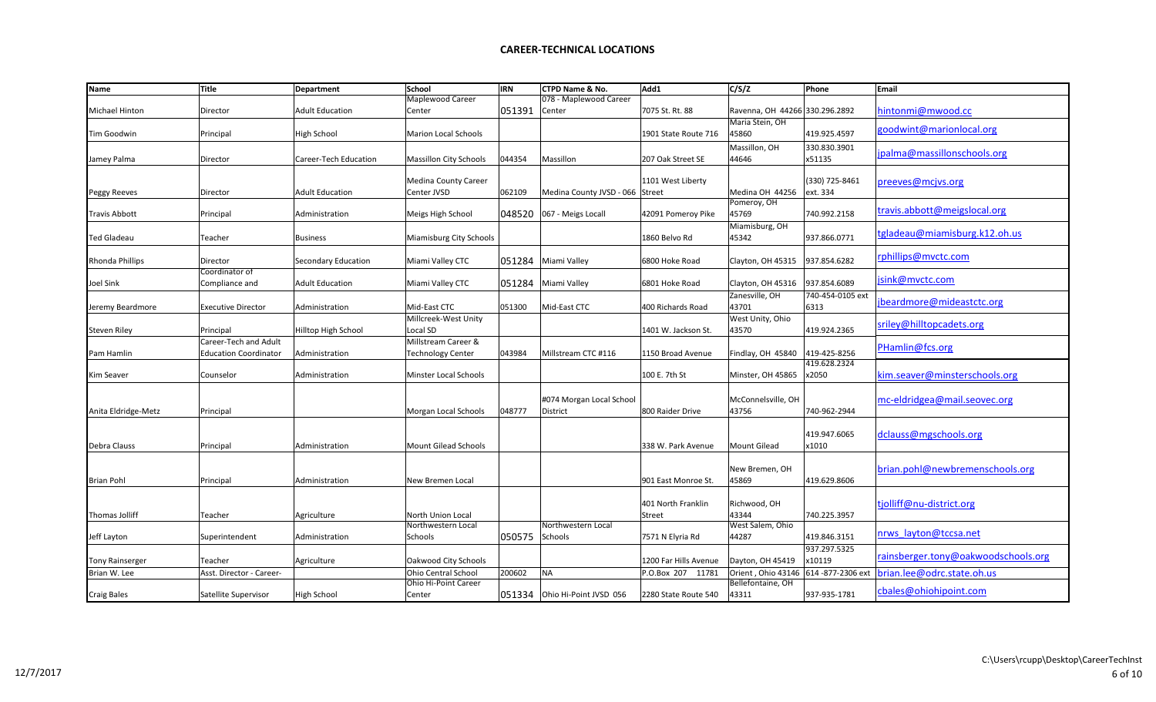| <b>Name</b>            | Title                        | <b>Department</b>      | School                      | <b>IRN</b> | CTPD Name & No.                 | Add1                  | C/S/Z                          | Phone                | Email                               |
|------------------------|------------------------------|------------------------|-----------------------------|------------|---------------------------------|-----------------------|--------------------------------|----------------------|-------------------------------------|
|                        |                              |                        | Maplewood Career            |            | 078 - Maplewood Career          |                       |                                |                      |                                     |
| Michael Hinton         | Director                     | <b>Adult Education</b> | Center                      | 051391     | Center                          | 7075 St. Rt. 88       | Ravenna, OH 44266 330.296.2892 |                      | hintonmi@mwood.cc                   |
|                        |                              |                        |                             |            |                                 |                       | Maria Stein, OH                |                      |                                     |
| Tim Goodwin            | Principal                    | High School            | <b>Marion Local Schools</b> |            |                                 | 1901 State Route 716  | 45860                          | 419.925.4597         | goodwint@marionlocal.org            |
|                        |                              |                        |                             |            |                                 |                       | Massillon, OH                  | 330.830.3901         |                                     |
| Jamey Palma            | Director                     | Career-Tech Education  | Massillon City Schools      | 044354     | Massillon                       | 207 Oak Street SE     | 44646                          | x51135               | jpalma@massillonschools.org         |
|                        |                              |                        |                             |            |                                 |                       |                                |                      |                                     |
|                        |                              |                        | <b>Medina County Career</b> |            |                                 | 1101 West Liberty     |                                | (330) 725-8461       | preeves@mcjvs.org                   |
| <b>Peggy Reeves</b>    | Director                     | <b>Adult Education</b> | Center JVSD                 | 062109     | Medina County JVSD - 066 Street |                       | Medina OH 44256                | ext. 334             |                                     |
|                        |                              |                        |                             |            |                                 |                       | Pomeroy, OH                    |                      |                                     |
| Travis Abbott          | Principal                    | Administration         | Meigs High School           | 048520     | 067 - Meigs Locall              | 42091 Pomeroy Pike    | 45769                          | 740.992.2158         | travis.abbott@meigslocal.org        |
|                        |                              |                        |                             |            |                                 |                       | Miamisburg, OH                 |                      |                                     |
| Ted Gladeau            | Teacher                      | <b>Business</b>        | Miamisburg City Schools     |            |                                 | 1860 Belvo Rd         | 45342                          | 937.866.0771         | tgladeau@miamisburg.k12.oh.us       |
|                        |                              |                        |                             |            |                                 |                       |                                |                      |                                     |
| Rhonda Phillips        | Director                     | Secondary Education    | Miami Valley CTC            | 051284     | Miami Valley                    | 6800 Hoke Road        | Clayton, OH 45315              | 937.854.6282         | rphillips@mvctc.com                 |
|                        | Coordinator of               |                        |                             |            |                                 |                       |                                |                      |                                     |
| Joel Sink              | Compliance and               | <b>Adult Education</b> | Miami Valley CTC            | 051284     | Miami Valley                    | 6801 Hoke Road        | Clayton, OH 45316              | 937.854.6089         | jsink@mvctc.com                     |
|                        |                              |                        |                             |            |                                 |                       | Zanesville, OH                 | 740-454-0105 ext     |                                     |
| Jeremy Beardmore       | <b>Executive Director</b>    | Administration         | Mid-East CTC                | 051300     | Mid-East CTC                    | 400 Richards Road     | 43701                          | 6313                 | jbeardmore@mideastctc.org           |
|                        |                              |                        | Millcreek-West Unity        |            |                                 |                       | West Unity, Ohio               |                      |                                     |
| Steven Riley           | Principal                    | Hilltop High School    | Local SD                    |            |                                 | 1401 W. Jackson St.   | 43570                          | 419.924.2365         | sriley@hilltopcadets.org            |
|                        | Career-Tech and Adult        |                        | Millstream Career &         |            |                                 |                       |                                |                      |                                     |
| Pam Hamlin             | <b>Education Coordinator</b> | Administration         | <b>Technology Center</b>    | 043984     | Millstream CTC #116             | 1150 Broad Avenue     | Findlay, OH 45840              | 419-425-8256         | PHamlin@fcs.org                     |
|                        |                              |                        |                             |            |                                 |                       |                                | 419.628.2324         |                                     |
| Kim Seaver             | Counselor                    | Administration         | Minster Local Schools       |            |                                 | 100 E. 7th St         | Minster, OH 45865              | x2050                | kim.seaver@minsterschools.org       |
|                        |                              |                        |                             |            |                                 |                       |                                |                      |                                     |
|                        |                              |                        |                             |            | #074 Morgan Local School        |                       | McConnelsville, OH             |                      | mc-eldridgea@mail.seovec.org        |
| Anita Eldridge-Metz    | Principal                    |                        | Morgan Local Schools        | 048777     | District                        | 800 Raider Drive      | 43756                          | 740-962-2944         |                                     |
|                        |                              |                        |                             |            |                                 |                       |                                |                      |                                     |
|                        |                              |                        |                             |            |                                 |                       |                                | 419.947.6065         | dclauss@mgschools.org               |
| Debra Clauss           | Principal                    | Administration         | Mount Gilead Schools        |            |                                 | 338 W. Park Avenue    | <b>Mount Gilead</b>            | x1010                |                                     |
|                        |                              |                        |                             |            |                                 |                       |                                |                      |                                     |
|                        |                              |                        |                             |            |                                 |                       | New Bremen, OH                 |                      | brian.pohl@newbremenschools.org     |
| <b>Brian Pohl</b>      | Principal                    | Administration         | New Bremen Local            |            |                                 | 901 East Monroe St.   | 45869                          | 419.629.8606         |                                     |
|                        |                              |                        |                             |            |                                 |                       |                                |                      |                                     |
|                        |                              |                        |                             |            |                                 | 401 North Franklin    | Richwood, OH                   |                      | tjolliff@nu-district.org            |
| Thomas Jolliff         | Teacher                      | Agriculture            | North Union Local           |            |                                 | Street                | 43344                          | 740.225.3957         |                                     |
|                        |                              |                        | Northwestern Local          |            | Northwestern Local              |                       | West Salem, Ohio               |                      |                                     |
| leff Layton            | Superintendent               | Administration         | Schools                     | 050575     | Schools                         | 7571 N Elyria Rd      | 44287                          | 419.846.3151         | nrws layton@tccsa.net               |
|                        |                              |                        |                             |            |                                 |                       |                                | 937.297.5325         |                                     |
| <b>Tony Rainserger</b> | Teacher                      | Agriculture            | Oakwood City Schools        |            |                                 | 1200 Far Hills Avenue | Dayton, OH 45419               | x10119               | rainsberger.tony@oakwoodschools.org |
| Brian W. Lee           | Asst. Director - Career-     |                        | Ohio Central School         | 200602     | <b>NA</b>                       | P.O.Box 207 11781     | Orient, Ohio 43146             | 614 - 877 - 2306 ext | brian.lee@odrc.state.oh.us          |
|                        |                              |                        | Ohio Hi-Point Career        |            |                                 |                       | Bellefontaine, OH              |                      |                                     |
| <b>Craig Bales</b>     | Satellite Supervisor         | High School            | Center                      |            | 051334 Ohio Hi-Point JVSD 056   | 2280 State Route 540  | 43311                          | 937-935-1781         | cbales@ohiohipoint.com              |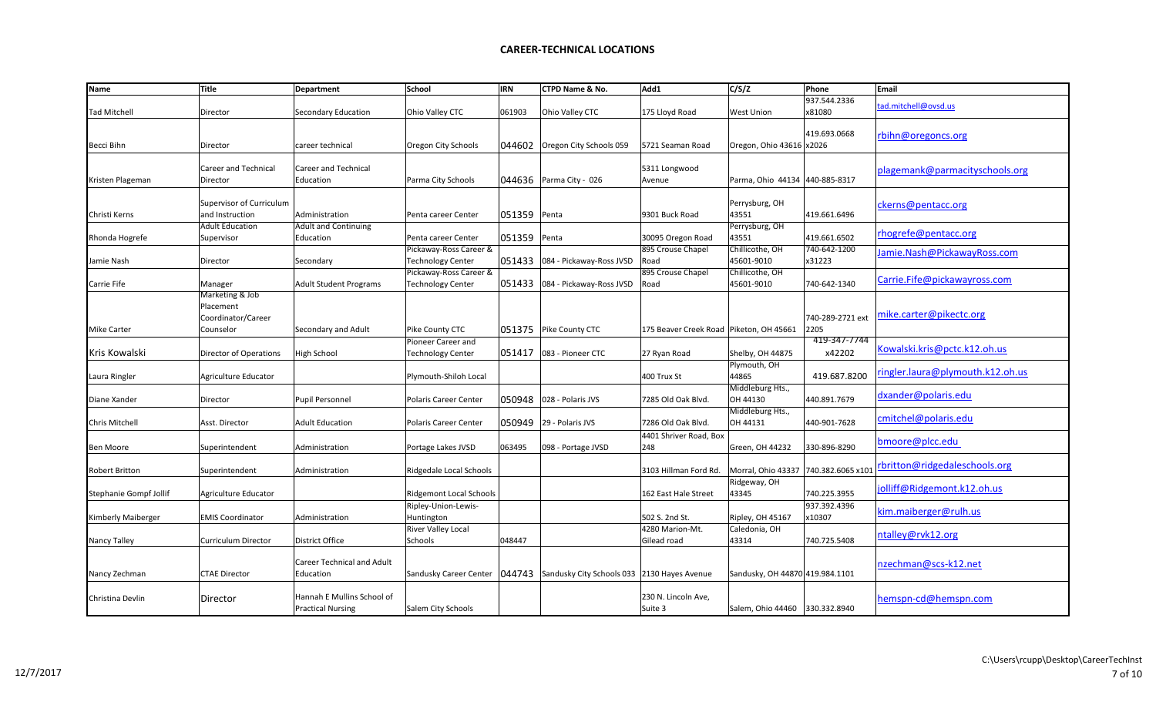| <b>Name</b>            | Title                                                           | Department                                             | School                                             | <b>IRN</b> | CTPD Name & No.                             | Add1                                      | C/S/Z                           | Phone                    | Email                            |
|------------------------|-----------------------------------------------------------------|--------------------------------------------------------|----------------------------------------------------|------------|---------------------------------------------|-------------------------------------------|---------------------------------|--------------------------|----------------------------------|
| Tad Mitchell           | Director                                                        | Secondary Education                                    | Ohio Valley CTC                                    | 061903     | Ohio Valley CTC                             | 175 Lloyd Road                            | <b>West Union</b>               | 937.544.2336<br>x81080   | tad.mitchell@ovsd.us             |
| Becci Bihn             | Director                                                        | career technical                                       | Oregon City Schools                                | 044602     | Oregon City Schools 059                     | 5721 Seaman Road                          | Oregon, Ohio 43616 x2026        | 419.693.0668             | rbihn@oregoncs.org               |
| Kristen Plageman       | Career and Technical<br>Director                                | <b>Career and Technical</b><br>Education               | Parma City Schools                                 |            | 044636   Parma City - 026                   | 5311 Longwood<br>Avenue                   | Parma, Ohio 44134               | 440-885-8317             | plagemank@parmacityschools.org   |
| Christi Kerns          | Supervisor of Curriculum<br>and Instruction                     | Administration                                         | Penta career Center                                | 051359     | Penta                                       | 9301 Buck Road                            | Perrysburg, OH<br>43551         | 419.661.6496             | ckerns@pentacc.org               |
| Rhonda Hogrefe         | <b>Adult Education</b><br>Supervisor                            | <b>Adult and Continuing</b><br>Education               | Penta career Center                                | 051359     | Penta                                       | 30095 Oregon Road                         | Perrysburg, OH<br>43551         | 419.661.6502             | rhogrefe@pentacc.org             |
| Jamie Nash             | Director                                                        | Secondary                                              | Pickaway-Ross Career &<br>Technology Center        | 051433     | 084 - Pickaway-Ross JVSD                    | 895 Crouse Chapel<br>Road                 | Chillicothe, OH<br>45601-9010   | 740-642-1200<br>x31223   | Jamie.Nash@PickawayRoss.com      |
| Carrie Fife            | Manager                                                         | <b>Adult Student Programs</b>                          | Pickaway-Ross Career &<br><b>Technology Center</b> | 051433     | 084 - Pickaway-Ross JVSD                    | 895 Crouse Chapel<br>Road                 | Chillicothe, OH<br>45601-9010   | 740-642-1340             | Carrie.Fife@pickawayross.com     |
| <b>Mike Carter</b>     | Marketing & Job<br>Placement<br>Coordinator/Career<br>Counselor | Secondary and Adult                                    | Pike County CTC                                    |            | 051375   Pike County CTC                    | 175 Beaver Creek Road   Piketon, OH 45661 |                                 | 740-289-2721 ext<br>2205 | mike.carter@pikectc.org          |
| Kris Kowalski          | <b>Director of Operations</b>                                   | High School                                            | Pioneer Career and<br><b>Technology Center</b>     | 051417     | 083 - Pioneer CTC                           | 27 Ryan Road                              | Shelby, OH 44875                | 419-347-7744<br>x42202   | Kowalski.kris@pctc.k12.oh.us     |
| aura Ringler           | Agriculture Educator                                            |                                                        | Plymouth-Shiloh Local                              |            |                                             | 400 Trux St                               | Plymouth, OH<br>44865           | 419.687.8200             | ringler.laura@plymouth.k12.oh.us |
| Diane Xander           | Director                                                        | Pupil Personnel                                        | Polaris Career Center                              | 050948     | 028 - Polaris JVS                           | 7285 Old Oak Blvd.                        | Middleburg Hts.,<br>OH 44130    | 440.891.7679             | dxander@polaris.edu              |
| Chris Mitchell         | Asst. Director                                                  | <b>Adult Education</b>                                 | <b>Polaris Career Center</b>                       | 050949     | 29 - Polaris JVS                            | 7286 Old Oak Blvd.                        | Middleburg Hts.,<br>OH 44131    | 440-901-7628             | cmitchel@polaris.edu             |
| Ben Moore              | Superintendent                                                  | Administration                                         | Portage Lakes JVSD                                 | 063495     | 098 - Portage JVSD                          | 4401 Shriver Road, Box<br>248             | Green, OH 44232                 | 330-896-8290             | bmoore@plcc.edu                  |
| Robert Britton         | Superintendent                                                  | Administration                                         | Ridgedale Local Schools                            |            |                                             | 3103 Hillman Ford Rd.                     | Morral, Ohio 43337              | 740.382.6065 x101        | rbritton@ridgedaleschools.org    |
| Stephanie Gompf Jollif | Agriculture Educator                                            |                                                        | <b>Ridgemont Local Schools</b>                     |            |                                             | 162 East Hale Street                      | Ridgeway, OH<br>43345           | 740.225.3955             | jolliff@Ridgemont.k12.oh.us      |
| Kimberly Maiberger     | <b>EMIS Coordinator</b>                                         | Administration                                         | Ripley-Union-Lewis-<br>Huntington                  |            |                                             | 502 S. 2nd St.                            | Ripley, OH 45167                | 937.392.4396<br>x10307   | kim.maiberger@rulh.us            |
| Nancy Talley           | Curriculum Director                                             | District Office                                        | River Valley Local<br>Schools                      | 048447     |                                             | 4280 Marion-Mt.<br>Gilead road            | Caledonia, OH<br>43314          | 740.725.5408             | ntalley@rvk12.org                |
| Nancy Zechman          | <b>CTAE Director</b>                                            | <b>Career Technical and Adult</b><br>Education         | Sandusky Career Center   044743                    |            | Sandusky City Schools 033 2130 Hayes Avenue |                                           | Sandusky, OH 44870 419.984.1101 |                          | nzechman@scs-k12.net             |
| Christina Devlin       | Director                                                        | Hannah E Mullins School of<br><b>Practical Nursing</b> | Salem City Schools                                 |            |                                             | 230 N. Lincoln Ave,<br>Suite 3            | Salem, Ohio 44460 330.332.8940  |                          | hemspn-cd@hemspn.com             |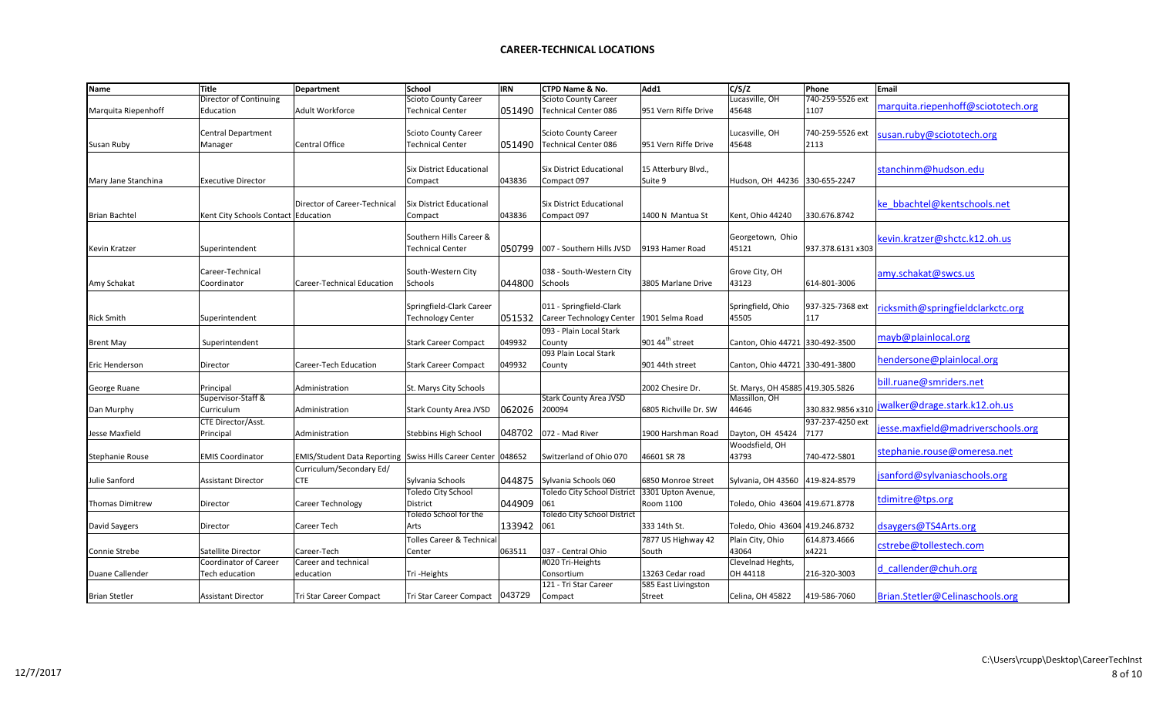| <b>Name</b>          | Title                               | Department                                                   | School                               | <b>IRN</b> | <b>CTPD Name &amp; No.</b>      | Add1                        | C/S/Z                            | Phone             | Email                              |
|----------------------|-------------------------------------|--------------------------------------------------------------|--------------------------------------|------------|---------------------------------|-----------------------------|----------------------------------|-------------------|------------------------------------|
|                      | Director of Continuing              |                                                              | <b>Scioto County Career</b>          |            | <b>Scioto County Career</b>     |                             | Lucasville, OH                   | 740-259-5526 ext  |                                    |
| Marquita Riepenhoff  | Education                           | <b>Adult Workforce</b>                                       | <b>Technical Center</b>              | 051490     | <b>Technical Center 086</b>     | 951 Vern Riffe Drive        | 45648                            | 1107              | marquita.riepenhoff@sciototech.org |
|                      |                                     |                                                              |                                      |            |                                 |                             |                                  |                   |                                    |
|                      | <b>Central Department</b>           |                                                              | <b>Scioto County Career</b>          |            | <b>Scioto County Career</b>     |                             | Lucasville, OH                   | 740-259-5526 ext  | susan.ruby@sciototech.org          |
| Susan Ruby           | Manager                             | <b>Central Office</b>                                        | <b>Technical Center</b>              | 051490     | Technical Center 086            | 951 Vern Riffe Drive        | 45648                            | 2113              |                                    |
|                      |                                     |                                                              |                                      |            |                                 |                             |                                  |                   |                                    |
|                      |                                     |                                                              |                                      |            |                                 |                             |                                  |                   |                                    |
|                      |                                     |                                                              | Six District Educational             |            | <b>Six District Educational</b> | 15 Atterbury Blvd.,         |                                  |                   | stanchinm@hudson.edu               |
| Mary Jane Stanchina  | <b>Executive Director</b>           |                                                              | Compact                              | 043836     | Compact 097                     | Suite 9                     | Hudson, OH 44236                 | 330-655-2247      |                                    |
|                      |                                     |                                                              |                                      |            |                                 |                             |                                  |                   |                                    |
|                      |                                     | Director of Career-Technical                                 | Six District Educational             |            | <b>Six District Educational</b> |                             |                                  |                   | ke bbachtel@kentschools.net        |
| <b>Brian Bachtel</b> | Kent City Schools Contact Education |                                                              | Compact                              | 043836     | Compact 097                     | 1400 N Mantua St            | Kent, Ohio 44240                 | 330.676.8742      |                                    |
|                      |                                     |                                                              |                                      |            |                                 |                             |                                  |                   |                                    |
|                      |                                     |                                                              | Southern Hills Career &              |            |                                 |                             | Georgetown, Ohio                 |                   | kevin.kratzer@shctc.k12.oh.us      |
| <b>Kevin Kratzer</b> | Superintendent                      |                                                              | <b>Technical Center</b>              | 050799     | 007 - Southern Hills JVSD       | 9193 Hamer Road             | 45121                            | 937.378.6131 x303 |                                    |
|                      |                                     |                                                              |                                      |            |                                 |                             |                                  |                   |                                    |
|                      | Career-Technical                    |                                                              | South-Western City                   |            | 038 - South-Western City        |                             | Grove City, OH                   |                   | amy.schakat@swcs.us                |
| Amy Schakat          | Coordinator                         | Career-Technical Education                                   | Schools                              | 044800     | Schools                         | 3805 Marlane Drive          | 43123                            | 614-801-3006      |                                    |
|                      |                                     |                                                              |                                      |            |                                 |                             |                                  |                   |                                    |
|                      |                                     |                                                              |                                      |            |                                 |                             |                                  |                   |                                    |
|                      |                                     |                                                              | Springfield-Clark Career             |            | 011 - Springfield-Clark         |                             | Springfield, Ohio                | 937-325-7368 ext  | ricksmith@springfieldclarkctc.org  |
| <b>Rick Smith</b>    | Superintendent                      |                                                              | <b>Technology Center</b>             | 051532     | Career Technology Center        | 1901 Selma Road             | 45505                            | 117               |                                    |
|                      |                                     |                                                              |                                      |            | 093 - Plain Local Stark         |                             |                                  |                   | mayb@plainlocal.org                |
| <b>Brent May</b>     | Superintendent                      |                                                              | <b>Stark Career Compact</b>          | 049932     | County                          | 901 44 <sup>th</sup> street | Canton, Ohio 44721 330-492-3500  |                   |                                    |
|                      |                                     |                                                              |                                      |            | 093 Plain Local Stark           |                             |                                  |                   |                                    |
| Eric Henderson       | Director                            | Career-Tech Education                                        | <b>Stark Career Compact</b>          | 049932     | County                          | 901 44th street             | Canton, Ohio 44721 330-491-3800  |                   | hendersone@plainlocal.org          |
|                      |                                     |                                                              |                                      |            |                                 |                             |                                  |                   |                                    |
| George Ruane         | Principal                           | Administration                                               | St. Marys City Schools               |            |                                 | 2002 Chesire Dr.            | St. Marys, OH 45885 419.305.5826 |                   | bill.ruane@smriders.net            |
|                      | Supervisor-Staff &                  |                                                              |                                      |            | <b>Stark County Area JVSD</b>   |                             | Massillon, OH                    |                   |                                    |
| Dan Murphy           | Curriculum                          | Administration                                               | Stark County Area JVSD               | 062026     | 200094                          | 6805 Richville Dr. SW       | 44646                            | 330.832.9856 x310 | jwalker@drage.stark.k12.oh.us      |
|                      | CTE Director/Asst.                  |                                                              |                                      |            |                                 |                             |                                  | 937-237-4250 ext  |                                    |
| lesse Maxfield       | Principal                           | Administration                                               | Stebbins High School                 | 048702     | 072 - Mad River                 | 1900 Harshman Road          | Dayton, OH 45424                 | 7177              | jesse.maxfield@madriverschools.org |
|                      |                                     |                                                              |                                      |            |                                 |                             | Woodsfield, OH                   |                   |                                    |
|                      |                                     |                                                              |                                      |            |                                 |                             |                                  |                   | stephanie.rouse@omeresa.net        |
| Stephanie Rouse      | <b>EMIS Coordinator</b>             | EMIS/Student Data Reporting Swiss Hills Career Center 048652 |                                      |            | Switzerland of Ohio 070         | 46601 SR 78                 | 43793                            | 740-472-5801      |                                    |
|                      |                                     | Curriculum/Secondary Ed/                                     |                                      |            |                                 |                             |                                  |                   | jsanford@sylvaniaschools.org       |
| Julie Sanford        | <b>Assistant Director</b>           | <b>CTE</b>                                                   | Sylvania Schools                     |            | 044875 Sylvania Schools 060     | 6850 Monroe Street          | Sylvania, OH 43560 419-824-8579  |                   |                                    |
|                      |                                     |                                                              | Toledo City School                   |            | Toledo City School District     | 3301 Upton Avenue,          |                                  |                   |                                    |
| Thomas Dimitrew      | Director                            | Career Technology                                            | District                             | 044909     | 061                             | Room 1100                   | Toledo, Ohio 43604 419.671.8778  |                   | tdimitre@tps.org                   |
|                      |                                     |                                                              | Toledo School for the                |            | Toledo City School District     |                             |                                  |                   |                                    |
| David Saygers        | Director                            | Career Tech                                                  | Arts                                 | 133942     | 061                             | 333 14th St.                | Toledo, Ohio 43604 419.246.8732  |                   | dsaygers@TS4Arts.org               |
|                      |                                     |                                                              | <b>Tolles Career &amp; Technical</b> |            |                                 | 7877 US Highway 42          | Plain City, Ohio                 | 614.873.4666      |                                    |
| Connie Strebe        | Satellite Director                  | Career-Tech                                                  | Center                               | 063511     | 037 - Central Ohio              | South                       | 43064                            | x4221             | cstrebe@tollestech.com             |
|                      |                                     |                                                              |                                      |            |                                 |                             |                                  |                   |                                    |
|                      | Coordinator of Career               | Career and technical                                         |                                      |            | #020 Tri-Heights                |                             | Clevelnad Heghts,                |                   | d callender@chuh.org               |
| Duane Callender      | <b>Tech education</b>               | education                                                    | Tri-Heights                          |            | Consortium                      | 13263 Cedar road            | OH 44118                         | 216-320-3003      |                                    |
|                      |                                     |                                                              |                                      |            | 121 - Tri Star Career           | 585 East Livingston         |                                  |                   |                                    |
| <b>Brian Stetler</b> | <b>Assistant Director</b>           | Tri Star Career Compact                                      | Tri Star Career Compact   043729     |            | Compact                         | Street                      | Celina, OH 45822                 | 419-586-7060      | Brian.Stetler@Celinaschools.org    |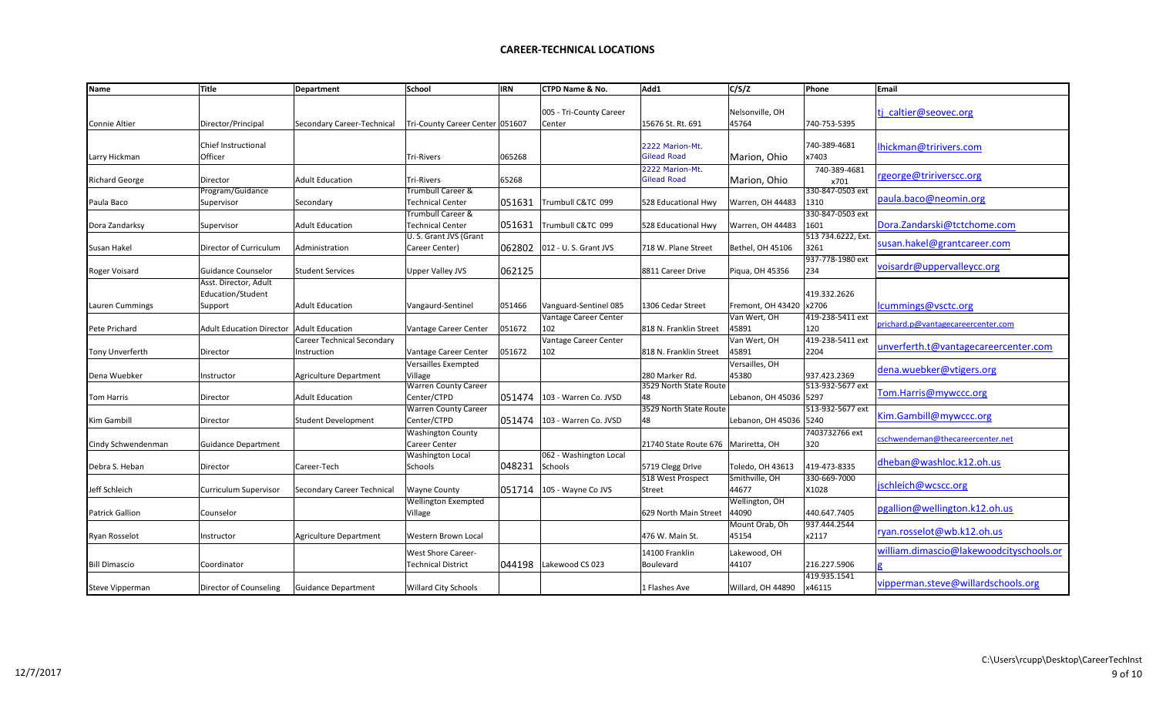| 005 - Tri-County Career<br>Nelsonville, OH<br>ti caltier@seovec.org<br>Director/Principal<br>Tri-County Career Center 051607<br>15676 St. Rt. 691<br>45764<br>740-753-5395<br><b>Connie Altier</b><br>Secondary Career-Technical<br>Center<br><b>Chief Instructional</b><br>740-389-4681<br>2222 Marion-Mt.<br>lhickman@tririvers.com<br><b>Gilead Road</b><br>Officer<br>Marion, Ohio<br>x7403<br>Larry Hickman<br><b>Tri-Rivers</b><br>065268<br>2222 Marion-Mt.<br>740-389-4681<br>rgeorge@tririverscc.org<br><b>Gilead Road</b><br>65268<br>Marion, Ohio<br><b>Richard George</b><br>Director<br><b>Adult Education</b><br><b>Tri-Rivers</b><br>x701<br>330-847-0503 ext<br>Trumbull Career &<br>Program/Guidance<br>paula.baco@neomin.org<br>051631<br><b>Technical Center</b><br>Trumbull C&TC 099<br>1310<br>528 Educational Hwy<br>Warren, OH 44483<br>Supervisor<br>Secondary<br>330-847-0503 ext<br>Trumbull Career &<br>051631<br>1601<br>Dora.Zandarski@tctchome.com<br><b>Adult Education</b><br><b>Technical Center</b><br>Trumbull C&TC 099<br>528 Educational Hwy<br>Warren, OH 44483<br>Supervisor<br>U.S. Grant JVS (Grant<br>513 734.6222, Ext.<br>susan.hakel@grantcareer.com<br>062802<br>Director of Curriculum<br>Career Center)<br>012 - U.S. Grant JVS<br>718 W. Plane Street<br>3261<br>Administration<br>Bethel, OH 45106<br>937-778-1980 ext<br>voisardr@uppervalleycc.org<br>062125<br>234<br>Guidance Counselor<br><b>Student Services</b><br>Upper Valley JVS<br>8811 Career Drive<br>Piqua, OH 45356<br>Asst. Director, Adult<br>Education/Student<br>419.332.2626<br>x2706<br>lcummings@vsctc.org<br><b>Adult Education</b><br>Vangaurd-Sentinel<br>051466<br>Vanguard-Sentinel 085<br>1306 Cedar Street<br>Fremont, OH 43420<br>Support<br>419-238-5411 ext<br>Vantage Career Center<br>Van Wert, OH<br>orichard.p@vantagecareercenter.com<br>102<br>120<br>Adult Education Director   Adult Education<br>051672<br>45891<br>Vantage Career Center<br>818 N. Franklin Street<br>419-238-5411 ext<br><b>Career Technical Secondary</b><br>Vantage Career Center<br>Van Wert, OH<br>unverferth.t@vantagecareercenter.com<br>2204<br>Vantage Career Center<br>051672<br>102<br>818 N. Franklin Street<br>45891<br><b>Tony Unverferth</b><br>Director<br>Instruction<br>Versailles Exempted<br>Versailles, OH<br>dena.wuebker@vtigers.org<br>937.423.2369<br>Village<br>280 Marker Rd.<br>45380<br>Instructor<br>Agriculture Department<br>513-932-5677 ext<br><b>Warren County Career</b><br>3529 North State Route<br>Tom.Harris@mywccc.org<br>051474<br>Center/CTPD<br>48<br>Lebanon, OH 45036 5297<br><b>Adult Education</b><br>103 - Warren Co. JVSD<br><b>Tom Harris</b><br>Director<br>513-932-5677 ext<br><b>Warren County Career</b><br>3529 North State Route<br>Kim.Gambill@mywccc.org<br>Center/CTPD<br>051474<br>Lebanon, OH 45036 5240<br><b>Student Development</b><br>103 - Warren Co. JVSD<br>48<br>Director<br><b>Washington County</b><br>7403732766 ext<br>cschwendeman@thecareercenter.net<br>Career Center<br>320<br><b>Guidance Department</b><br>21740 State Route 676   Mariretta, OH<br><b>Washington Local</b><br>062 - Washington Local<br>dheban@washloc.k12.oh.us<br>048231<br>419-473-8335<br>Career-Tech<br>Schools<br>5719 Clegg DrIve<br>Director<br>Schools<br>Toledo, OH 43613<br>518 West Prospect<br>Smithville, OH<br>330-669-7000<br>jschleich@wcscc.org<br>44677<br>Jeff Schleich<br>051714<br>X1028<br><b>Curriculum Supervisor</b><br>Secondary Career Technical<br><b>Wayne County</b><br>105 - Wayne Co JVS<br>Street<br>Wellington, OH<br>Wellington Exempted<br>pgallion@wellington.k12.oh.us<br>44090<br>440.647.7405<br>Counselor<br>Village<br>629 North Main Street<br>937.444.2544<br>Mount Orab, Oh<br>ryan.rosselot@wb.k12.oh.us<br>45154<br>x2117<br>476 W. Main St.<br><b>Agriculture Department</b><br>Western Brown Local<br>Instructor<br>william.dimascio@lakewoodcityschools.or<br><b>West Shore Career-</b><br>14100 Franklin<br>Lakewood, OH<br>044198<br>216.227.5906<br><b>Technical District</b><br>Lakewood CS 023<br>44107<br><b>Bill Dimascio</b><br>Coordinator<br>Boulevard<br>419.935.1541<br>vipperman.steve@willardschools.org | <b>Name</b>            | <b>Title</b>           | Department          | School                      | <b>IRN</b> | <b>CTPD Name &amp; No.</b> | Add1          | C/S/Z             | Phone  | Email |
|----------------------------------------------------------------------------------------------------------------------------------------------------------------------------------------------------------------------------------------------------------------------------------------------------------------------------------------------------------------------------------------------------------------------------------------------------------------------------------------------------------------------------------------------------------------------------------------------------------------------------------------------------------------------------------------------------------------------------------------------------------------------------------------------------------------------------------------------------------------------------------------------------------------------------------------------------------------------------------------------------------------------------------------------------------------------------------------------------------------------------------------------------------------------------------------------------------------------------------------------------------------------------------------------------------------------------------------------------------------------------------------------------------------------------------------------------------------------------------------------------------------------------------------------------------------------------------------------------------------------------------------------------------------------------------------------------------------------------------------------------------------------------------------------------------------------------------------------------------------------------------------------------------------------------------------------------------------------------------------------------------------------------------------------------------------------------------------------------------------------------------------------------------------------------------------------------------------------------------------------------------------------------------------------------------------------------------------------------------------------------------------------------------------------------------------------------------------------------------------------------------------------------------------------------------------------------------------------------------------------------------------------------------------------------------------------------------------------------------------------------------------------------------------------------------------------------------------------------------------------------------------------------------------------------------------------------------------------------------------------------------------------------------------------------------------------------------------------------------------------------------------------------------------------------------------------------------------------------------------------------------------------------------------------------------------------------------------------------------------------------------------------------------------------------------------------------------------------------------------------------------------------------------------------------------------------------------------------------------------------------------------------------------------------------------------------------------------------------------------------------------------------------------------------------------------------------------------------------------------------------------------------------------------------------------------------------------------------------------------------------------------------------------------------------------------------------------------------------------------------------------------------------------------------------------------------------------------------------------------|------------------------|------------------------|---------------------|-----------------------------|------------|----------------------------|---------------|-------------------|--------|-------|
|                                                                                                                                                                                                                                                                                                                                                                                                                                                                                                                                                                                                                                                                                                                                                                                                                                                                                                                                                                                                                                                                                                                                                                                                                                                                                                                                                                                                                                                                                                                                                                                                                                                                                                                                                                                                                                                                                                                                                                                                                                                                                                                                                                                                                                                                                                                                                                                                                                                                                                                                                                                                                                                                                                                                                                                                                                                                                                                                                                                                                                                                                                                                                                                                                                                                                                                                                                                                                                                                                                                                                                                                                                                                                                                                                                                                                                                                                                                                                                                                                                                                                                                                                                                                                                        |                        |                        |                     |                             |            |                            |               |                   |        |       |
|                                                                                                                                                                                                                                                                                                                                                                                                                                                                                                                                                                                                                                                                                                                                                                                                                                                                                                                                                                                                                                                                                                                                                                                                                                                                                                                                                                                                                                                                                                                                                                                                                                                                                                                                                                                                                                                                                                                                                                                                                                                                                                                                                                                                                                                                                                                                                                                                                                                                                                                                                                                                                                                                                                                                                                                                                                                                                                                                                                                                                                                                                                                                                                                                                                                                                                                                                                                                                                                                                                                                                                                                                                                                                                                                                                                                                                                                                                                                                                                                                                                                                                                                                                                                                                        |                        |                        |                     |                             |            |                            |               |                   |        |       |
|                                                                                                                                                                                                                                                                                                                                                                                                                                                                                                                                                                                                                                                                                                                                                                                                                                                                                                                                                                                                                                                                                                                                                                                                                                                                                                                                                                                                                                                                                                                                                                                                                                                                                                                                                                                                                                                                                                                                                                                                                                                                                                                                                                                                                                                                                                                                                                                                                                                                                                                                                                                                                                                                                                                                                                                                                                                                                                                                                                                                                                                                                                                                                                                                                                                                                                                                                                                                                                                                                                                                                                                                                                                                                                                                                                                                                                                                                                                                                                                                                                                                                                                                                                                                                                        |                        |                        |                     |                             |            |                            |               |                   |        |       |
|                                                                                                                                                                                                                                                                                                                                                                                                                                                                                                                                                                                                                                                                                                                                                                                                                                                                                                                                                                                                                                                                                                                                                                                                                                                                                                                                                                                                                                                                                                                                                                                                                                                                                                                                                                                                                                                                                                                                                                                                                                                                                                                                                                                                                                                                                                                                                                                                                                                                                                                                                                                                                                                                                                                                                                                                                                                                                                                                                                                                                                                                                                                                                                                                                                                                                                                                                                                                                                                                                                                                                                                                                                                                                                                                                                                                                                                                                                                                                                                                                                                                                                                                                                                                                                        |                        |                        |                     |                             |            |                            |               |                   |        |       |
|                                                                                                                                                                                                                                                                                                                                                                                                                                                                                                                                                                                                                                                                                                                                                                                                                                                                                                                                                                                                                                                                                                                                                                                                                                                                                                                                                                                                                                                                                                                                                                                                                                                                                                                                                                                                                                                                                                                                                                                                                                                                                                                                                                                                                                                                                                                                                                                                                                                                                                                                                                                                                                                                                                                                                                                                                                                                                                                                                                                                                                                                                                                                                                                                                                                                                                                                                                                                                                                                                                                                                                                                                                                                                                                                                                                                                                                                                                                                                                                                                                                                                                                                                                                                                                        |                        |                        |                     |                             |            |                            |               |                   |        |       |
|                                                                                                                                                                                                                                                                                                                                                                                                                                                                                                                                                                                                                                                                                                                                                                                                                                                                                                                                                                                                                                                                                                                                                                                                                                                                                                                                                                                                                                                                                                                                                                                                                                                                                                                                                                                                                                                                                                                                                                                                                                                                                                                                                                                                                                                                                                                                                                                                                                                                                                                                                                                                                                                                                                                                                                                                                                                                                                                                                                                                                                                                                                                                                                                                                                                                                                                                                                                                                                                                                                                                                                                                                                                                                                                                                                                                                                                                                                                                                                                                                                                                                                                                                                                                                                        |                        |                        |                     |                             |            |                            |               |                   |        |       |
|                                                                                                                                                                                                                                                                                                                                                                                                                                                                                                                                                                                                                                                                                                                                                                                                                                                                                                                                                                                                                                                                                                                                                                                                                                                                                                                                                                                                                                                                                                                                                                                                                                                                                                                                                                                                                                                                                                                                                                                                                                                                                                                                                                                                                                                                                                                                                                                                                                                                                                                                                                                                                                                                                                                                                                                                                                                                                                                                                                                                                                                                                                                                                                                                                                                                                                                                                                                                                                                                                                                                                                                                                                                                                                                                                                                                                                                                                                                                                                                                                                                                                                                                                                                                                                        |                        |                        |                     |                             |            |                            |               |                   |        |       |
|                                                                                                                                                                                                                                                                                                                                                                                                                                                                                                                                                                                                                                                                                                                                                                                                                                                                                                                                                                                                                                                                                                                                                                                                                                                                                                                                                                                                                                                                                                                                                                                                                                                                                                                                                                                                                                                                                                                                                                                                                                                                                                                                                                                                                                                                                                                                                                                                                                                                                                                                                                                                                                                                                                                                                                                                                                                                                                                                                                                                                                                                                                                                                                                                                                                                                                                                                                                                                                                                                                                                                                                                                                                                                                                                                                                                                                                                                                                                                                                                                                                                                                                                                                                                                                        |                        |                        |                     |                             |            |                            |               |                   |        |       |
|                                                                                                                                                                                                                                                                                                                                                                                                                                                                                                                                                                                                                                                                                                                                                                                                                                                                                                                                                                                                                                                                                                                                                                                                                                                                                                                                                                                                                                                                                                                                                                                                                                                                                                                                                                                                                                                                                                                                                                                                                                                                                                                                                                                                                                                                                                                                                                                                                                                                                                                                                                                                                                                                                                                                                                                                                                                                                                                                                                                                                                                                                                                                                                                                                                                                                                                                                                                                                                                                                                                                                                                                                                                                                                                                                                                                                                                                                                                                                                                                                                                                                                                                                                                                                                        | Paula Baco             |                        |                     |                             |            |                            |               |                   |        |       |
|                                                                                                                                                                                                                                                                                                                                                                                                                                                                                                                                                                                                                                                                                                                                                                                                                                                                                                                                                                                                                                                                                                                                                                                                                                                                                                                                                                                                                                                                                                                                                                                                                                                                                                                                                                                                                                                                                                                                                                                                                                                                                                                                                                                                                                                                                                                                                                                                                                                                                                                                                                                                                                                                                                                                                                                                                                                                                                                                                                                                                                                                                                                                                                                                                                                                                                                                                                                                                                                                                                                                                                                                                                                                                                                                                                                                                                                                                                                                                                                                                                                                                                                                                                                                                                        |                        |                        |                     |                             |            |                            |               |                   |        |       |
|                                                                                                                                                                                                                                                                                                                                                                                                                                                                                                                                                                                                                                                                                                                                                                                                                                                                                                                                                                                                                                                                                                                                                                                                                                                                                                                                                                                                                                                                                                                                                                                                                                                                                                                                                                                                                                                                                                                                                                                                                                                                                                                                                                                                                                                                                                                                                                                                                                                                                                                                                                                                                                                                                                                                                                                                                                                                                                                                                                                                                                                                                                                                                                                                                                                                                                                                                                                                                                                                                                                                                                                                                                                                                                                                                                                                                                                                                                                                                                                                                                                                                                                                                                                                                                        | Dora Zandarksy         |                        |                     |                             |            |                            |               |                   |        |       |
|                                                                                                                                                                                                                                                                                                                                                                                                                                                                                                                                                                                                                                                                                                                                                                                                                                                                                                                                                                                                                                                                                                                                                                                                                                                                                                                                                                                                                                                                                                                                                                                                                                                                                                                                                                                                                                                                                                                                                                                                                                                                                                                                                                                                                                                                                                                                                                                                                                                                                                                                                                                                                                                                                                                                                                                                                                                                                                                                                                                                                                                                                                                                                                                                                                                                                                                                                                                                                                                                                                                                                                                                                                                                                                                                                                                                                                                                                                                                                                                                                                                                                                                                                                                                                                        |                        |                        |                     |                             |            |                            |               |                   |        |       |
|                                                                                                                                                                                                                                                                                                                                                                                                                                                                                                                                                                                                                                                                                                                                                                                                                                                                                                                                                                                                                                                                                                                                                                                                                                                                                                                                                                                                                                                                                                                                                                                                                                                                                                                                                                                                                                                                                                                                                                                                                                                                                                                                                                                                                                                                                                                                                                                                                                                                                                                                                                                                                                                                                                                                                                                                                                                                                                                                                                                                                                                                                                                                                                                                                                                                                                                                                                                                                                                                                                                                                                                                                                                                                                                                                                                                                                                                                                                                                                                                                                                                                                                                                                                                                                        | Susan Hakel            |                        |                     |                             |            |                            |               |                   |        |       |
|                                                                                                                                                                                                                                                                                                                                                                                                                                                                                                                                                                                                                                                                                                                                                                                                                                                                                                                                                                                                                                                                                                                                                                                                                                                                                                                                                                                                                                                                                                                                                                                                                                                                                                                                                                                                                                                                                                                                                                                                                                                                                                                                                                                                                                                                                                                                                                                                                                                                                                                                                                                                                                                                                                                                                                                                                                                                                                                                                                                                                                                                                                                                                                                                                                                                                                                                                                                                                                                                                                                                                                                                                                                                                                                                                                                                                                                                                                                                                                                                                                                                                                                                                                                                                                        |                        |                        |                     |                             |            |                            |               |                   |        |       |
|                                                                                                                                                                                                                                                                                                                                                                                                                                                                                                                                                                                                                                                                                                                                                                                                                                                                                                                                                                                                                                                                                                                                                                                                                                                                                                                                                                                                                                                                                                                                                                                                                                                                                                                                                                                                                                                                                                                                                                                                                                                                                                                                                                                                                                                                                                                                                                                                                                                                                                                                                                                                                                                                                                                                                                                                                                                                                                                                                                                                                                                                                                                                                                                                                                                                                                                                                                                                                                                                                                                                                                                                                                                                                                                                                                                                                                                                                                                                                                                                                                                                                                                                                                                                                                        | Roger Voisard          |                        |                     |                             |            |                            |               |                   |        |       |
|                                                                                                                                                                                                                                                                                                                                                                                                                                                                                                                                                                                                                                                                                                                                                                                                                                                                                                                                                                                                                                                                                                                                                                                                                                                                                                                                                                                                                                                                                                                                                                                                                                                                                                                                                                                                                                                                                                                                                                                                                                                                                                                                                                                                                                                                                                                                                                                                                                                                                                                                                                                                                                                                                                                                                                                                                                                                                                                                                                                                                                                                                                                                                                                                                                                                                                                                                                                                                                                                                                                                                                                                                                                                                                                                                                                                                                                                                                                                                                                                                                                                                                                                                                                                                                        |                        |                        |                     |                             |            |                            |               |                   |        |       |
|                                                                                                                                                                                                                                                                                                                                                                                                                                                                                                                                                                                                                                                                                                                                                                                                                                                                                                                                                                                                                                                                                                                                                                                                                                                                                                                                                                                                                                                                                                                                                                                                                                                                                                                                                                                                                                                                                                                                                                                                                                                                                                                                                                                                                                                                                                                                                                                                                                                                                                                                                                                                                                                                                                                                                                                                                                                                                                                                                                                                                                                                                                                                                                                                                                                                                                                                                                                                                                                                                                                                                                                                                                                                                                                                                                                                                                                                                                                                                                                                                                                                                                                                                                                                                                        |                        |                        |                     |                             |            |                            |               |                   |        |       |
|                                                                                                                                                                                                                                                                                                                                                                                                                                                                                                                                                                                                                                                                                                                                                                                                                                                                                                                                                                                                                                                                                                                                                                                                                                                                                                                                                                                                                                                                                                                                                                                                                                                                                                                                                                                                                                                                                                                                                                                                                                                                                                                                                                                                                                                                                                                                                                                                                                                                                                                                                                                                                                                                                                                                                                                                                                                                                                                                                                                                                                                                                                                                                                                                                                                                                                                                                                                                                                                                                                                                                                                                                                                                                                                                                                                                                                                                                                                                                                                                                                                                                                                                                                                                                                        | Lauren Cummings        |                        |                     |                             |            |                            |               |                   |        |       |
|                                                                                                                                                                                                                                                                                                                                                                                                                                                                                                                                                                                                                                                                                                                                                                                                                                                                                                                                                                                                                                                                                                                                                                                                                                                                                                                                                                                                                                                                                                                                                                                                                                                                                                                                                                                                                                                                                                                                                                                                                                                                                                                                                                                                                                                                                                                                                                                                                                                                                                                                                                                                                                                                                                                                                                                                                                                                                                                                                                                                                                                                                                                                                                                                                                                                                                                                                                                                                                                                                                                                                                                                                                                                                                                                                                                                                                                                                                                                                                                                                                                                                                                                                                                                                                        |                        |                        |                     |                             |            |                            |               |                   |        |       |
|                                                                                                                                                                                                                                                                                                                                                                                                                                                                                                                                                                                                                                                                                                                                                                                                                                                                                                                                                                                                                                                                                                                                                                                                                                                                                                                                                                                                                                                                                                                                                                                                                                                                                                                                                                                                                                                                                                                                                                                                                                                                                                                                                                                                                                                                                                                                                                                                                                                                                                                                                                                                                                                                                                                                                                                                                                                                                                                                                                                                                                                                                                                                                                                                                                                                                                                                                                                                                                                                                                                                                                                                                                                                                                                                                                                                                                                                                                                                                                                                                                                                                                                                                                                                                                        | Pete Prichard          |                        |                     |                             |            |                            |               |                   |        |       |
|                                                                                                                                                                                                                                                                                                                                                                                                                                                                                                                                                                                                                                                                                                                                                                                                                                                                                                                                                                                                                                                                                                                                                                                                                                                                                                                                                                                                                                                                                                                                                                                                                                                                                                                                                                                                                                                                                                                                                                                                                                                                                                                                                                                                                                                                                                                                                                                                                                                                                                                                                                                                                                                                                                                                                                                                                                                                                                                                                                                                                                                                                                                                                                                                                                                                                                                                                                                                                                                                                                                                                                                                                                                                                                                                                                                                                                                                                                                                                                                                                                                                                                                                                                                                                                        |                        |                        |                     |                             |            |                            |               |                   |        |       |
|                                                                                                                                                                                                                                                                                                                                                                                                                                                                                                                                                                                                                                                                                                                                                                                                                                                                                                                                                                                                                                                                                                                                                                                                                                                                                                                                                                                                                                                                                                                                                                                                                                                                                                                                                                                                                                                                                                                                                                                                                                                                                                                                                                                                                                                                                                                                                                                                                                                                                                                                                                                                                                                                                                                                                                                                                                                                                                                                                                                                                                                                                                                                                                                                                                                                                                                                                                                                                                                                                                                                                                                                                                                                                                                                                                                                                                                                                                                                                                                                                                                                                                                                                                                                                                        |                        |                        |                     |                             |            |                            |               |                   |        |       |
|                                                                                                                                                                                                                                                                                                                                                                                                                                                                                                                                                                                                                                                                                                                                                                                                                                                                                                                                                                                                                                                                                                                                                                                                                                                                                                                                                                                                                                                                                                                                                                                                                                                                                                                                                                                                                                                                                                                                                                                                                                                                                                                                                                                                                                                                                                                                                                                                                                                                                                                                                                                                                                                                                                                                                                                                                                                                                                                                                                                                                                                                                                                                                                                                                                                                                                                                                                                                                                                                                                                                                                                                                                                                                                                                                                                                                                                                                                                                                                                                                                                                                                                                                                                                                                        |                        |                        |                     |                             |            |                            |               |                   |        |       |
|                                                                                                                                                                                                                                                                                                                                                                                                                                                                                                                                                                                                                                                                                                                                                                                                                                                                                                                                                                                                                                                                                                                                                                                                                                                                                                                                                                                                                                                                                                                                                                                                                                                                                                                                                                                                                                                                                                                                                                                                                                                                                                                                                                                                                                                                                                                                                                                                                                                                                                                                                                                                                                                                                                                                                                                                                                                                                                                                                                                                                                                                                                                                                                                                                                                                                                                                                                                                                                                                                                                                                                                                                                                                                                                                                                                                                                                                                                                                                                                                                                                                                                                                                                                                                                        | Dena Wuebker           |                        |                     |                             |            |                            |               |                   |        |       |
|                                                                                                                                                                                                                                                                                                                                                                                                                                                                                                                                                                                                                                                                                                                                                                                                                                                                                                                                                                                                                                                                                                                                                                                                                                                                                                                                                                                                                                                                                                                                                                                                                                                                                                                                                                                                                                                                                                                                                                                                                                                                                                                                                                                                                                                                                                                                                                                                                                                                                                                                                                                                                                                                                                                                                                                                                                                                                                                                                                                                                                                                                                                                                                                                                                                                                                                                                                                                                                                                                                                                                                                                                                                                                                                                                                                                                                                                                                                                                                                                                                                                                                                                                                                                                                        |                        |                        |                     |                             |            |                            |               |                   |        |       |
|                                                                                                                                                                                                                                                                                                                                                                                                                                                                                                                                                                                                                                                                                                                                                                                                                                                                                                                                                                                                                                                                                                                                                                                                                                                                                                                                                                                                                                                                                                                                                                                                                                                                                                                                                                                                                                                                                                                                                                                                                                                                                                                                                                                                                                                                                                                                                                                                                                                                                                                                                                                                                                                                                                                                                                                                                                                                                                                                                                                                                                                                                                                                                                                                                                                                                                                                                                                                                                                                                                                                                                                                                                                                                                                                                                                                                                                                                                                                                                                                                                                                                                                                                                                                                                        |                        |                        |                     |                             |            |                            |               |                   |        |       |
|                                                                                                                                                                                                                                                                                                                                                                                                                                                                                                                                                                                                                                                                                                                                                                                                                                                                                                                                                                                                                                                                                                                                                                                                                                                                                                                                                                                                                                                                                                                                                                                                                                                                                                                                                                                                                                                                                                                                                                                                                                                                                                                                                                                                                                                                                                                                                                                                                                                                                                                                                                                                                                                                                                                                                                                                                                                                                                                                                                                                                                                                                                                                                                                                                                                                                                                                                                                                                                                                                                                                                                                                                                                                                                                                                                                                                                                                                                                                                                                                                                                                                                                                                                                                                                        |                        |                        |                     |                             |            |                            |               |                   |        |       |
|                                                                                                                                                                                                                                                                                                                                                                                                                                                                                                                                                                                                                                                                                                                                                                                                                                                                                                                                                                                                                                                                                                                                                                                                                                                                                                                                                                                                                                                                                                                                                                                                                                                                                                                                                                                                                                                                                                                                                                                                                                                                                                                                                                                                                                                                                                                                                                                                                                                                                                                                                                                                                                                                                                                                                                                                                                                                                                                                                                                                                                                                                                                                                                                                                                                                                                                                                                                                                                                                                                                                                                                                                                                                                                                                                                                                                                                                                                                                                                                                                                                                                                                                                                                                                                        | Kim Gambill            |                        |                     |                             |            |                            |               |                   |        |       |
|                                                                                                                                                                                                                                                                                                                                                                                                                                                                                                                                                                                                                                                                                                                                                                                                                                                                                                                                                                                                                                                                                                                                                                                                                                                                                                                                                                                                                                                                                                                                                                                                                                                                                                                                                                                                                                                                                                                                                                                                                                                                                                                                                                                                                                                                                                                                                                                                                                                                                                                                                                                                                                                                                                                                                                                                                                                                                                                                                                                                                                                                                                                                                                                                                                                                                                                                                                                                                                                                                                                                                                                                                                                                                                                                                                                                                                                                                                                                                                                                                                                                                                                                                                                                                                        |                        |                        |                     |                             |            |                            |               |                   |        |       |
|                                                                                                                                                                                                                                                                                                                                                                                                                                                                                                                                                                                                                                                                                                                                                                                                                                                                                                                                                                                                                                                                                                                                                                                                                                                                                                                                                                                                                                                                                                                                                                                                                                                                                                                                                                                                                                                                                                                                                                                                                                                                                                                                                                                                                                                                                                                                                                                                                                                                                                                                                                                                                                                                                                                                                                                                                                                                                                                                                                                                                                                                                                                                                                                                                                                                                                                                                                                                                                                                                                                                                                                                                                                                                                                                                                                                                                                                                                                                                                                                                                                                                                                                                                                                                                        | Cindy Schwendenman     |                        |                     |                             |            |                            |               |                   |        |       |
|                                                                                                                                                                                                                                                                                                                                                                                                                                                                                                                                                                                                                                                                                                                                                                                                                                                                                                                                                                                                                                                                                                                                                                                                                                                                                                                                                                                                                                                                                                                                                                                                                                                                                                                                                                                                                                                                                                                                                                                                                                                                                                                                                                                                                                                                                                                                                                                                                                                                                                                                                                                                                                                                                                                                                                                                                                                                                                                                                                                                                                                                                                                                                                                                                                                                                                                                                                                                                                                                                                                                                                                                                                                                                                                                                                                                                                                                                                                                                                                                                                                                                                                                                                                                                                        |                        |                        |                     |                             |            |                            |               |                   |        |       |
|                                                                                                                                                                                                                                                                                                                                                                                                                                                                                                                                                                                                                                                                                                                                                                                                                                                                                                                                                                                                                                                                                                                                                                                                                                                                                                                                                                                                                                                                                                                                                                                                                                                                                                                                                                                                                                                                                                                                                                                                                                                                                                                                                                                                                                                                                                                                                                                                                                                                                                                                                                                                                                                                                                                                                                                                                                                                                                                                                                                                                                                                                                                                                                                                                                                                                                                                                                                                                                                                                                                                                                                                                                                                                                                                                                                                                                                                                                                                                                                                                                                                                                                                                                                                                                        | Debra S. Heban         |                        |                     |                             |            |                            |               |                   |        |       |
|                                                                                                                                                                                                                                                                                                                                                                                                                                                                                                                                                                                                                                                                                                                                                                                                                                                                                                                                                                                                                                                                                                                                                                                                                                                                                                                                                                                                                                                                                                                                                                                                                                                                                                                                                                                                                                                                                                                                                                                                                                                                                                                                                                                                                                                                                                                                                                                                                                                                                                                                                                                                                                                                                                                                                                                                                                                                                                                                                                                                                                                                                                                                                                                                                                                                                                                                                                                                                                                                                                                                                                                                                                                                                                                                                                                                                                                                                                                                                                                                                                                                                                                                                                                                                                        |                        |                        |                     |                             |            |                            |               |                   |        |       |
|                                                                                                                                                                                                                                                                                                                                                                                                                                                                                                                                                                                                                                                                                                                                                                                                                                                                                                                                                                                                                                                                                                                                                                                                                                                                                                                                                                                                                                                                                                                                                                                                                                                                                                                                                                                                                                                                                                                                                                                                                                                                                                                                                                                                                                                                                                                                                                                                                                                                                                                                                                                                                                                                                                                                                                                                                                                                                                                                                                                                                                                                                                                                                                                                                                                                                                                                                                                                                                                                                                                                                                                                                                                                                                                                                                                                                                                                                                                                                                                                                                                                                                                                                                                                                                        |                        |                        |                     |                             |            |                            |               |                   |        |       |
|                                                                                                                                                                                                                                                                                                                                                                                                                                                                                                                                                                                                                                                                                                                                                                                                                                                                                                                                                                                                                                                                                                                                                                                                                                                                                                                                                                                                                                                                                                                                                                                                                                                                                                                                                                                                                                                                                                                                                                                                                                                                                                                                                                                                                                                                                                                                                                                                                                                                                                                                                                                                                                                                                                                                                                                                                                                                                                                                                                                                                                                                                                                                                                                                                                                                                                                                                                                                                                                                                                                                                                                                                                                                                                                                                                                                                                                                                                                                                                                                                                                                                                                                                                                                                                        |                        |                        |                     |                             |            |                            |               |                   |        |       |
|                                                                                                                                                                                                                                                                                                                                                                                                                                                                                                                                                                                                                                                                                                                                                                                                                                                                                                                                                                                                                                                                                                                                                                                                                                                                                                                                                                                                                                                                                                                                                                                                                                                                                                                                                                                                                                                                                                                                                                                                                                                                                                                                                                                                                                                                                                                                                                                                                                                                                                                                                                                                                                                                                                                                                                                                                                                                                                                                                                                                                                                                                                                                                                                                                                                                                                                                                                                                                                                                                                                                                                                                                                                                                                                                                                                                                                                                                                                                                                                                                                                                                                                                                                                                                                        | <b>Patrick Gallion</b> |                        |                     |                             |            |                            |               |                   |        |       |
|                                                                                                                                                                                                                                                                                                                                                                                                                                                                                                                                                                                                                                                                                                                                                                                                                                                                                                                                                                                                                                                                                                                                                                                                                                                                                                                                                                                                                                                                                                                                                                                                                                                                                                                                                                                                                                                                                                                                                                                                                                                                                                                                                                                                                                                                                                                                                                                                                                                                                                                                                                                                                                                                                                                                                                                                                                                                                                                                                                                                                                                                                                                                                                                                                                                                                                                                                                                                                                                                                                                                                                                                                                                                                                                                                                                                                                                                                                                                                                                                                                                                                                                                                                                                                                        |                        |                        |                     |                             |            |                            |               |                   |        |       |
|                                                                                                                                                                                                                                                                                                                                                                                                                                                                                                                                                                                                                                                                                                                                                                                                                                                                                                                                                                                                                                                                                                                                                                                                                                                                                                                                                                                                                                                                                                                                                                                                                                                                                                                                                                                                                                                                                                                                                                                                                                                                                                                                                                                                                                                                                                                                                                                                                                                                                                                                                                                                                                                                                                                                                                                                                                                                                                                                                                                                                                                                                                                                                                                                                                                                                                                                                                                                                                                                                                                                                                                                                                                                                                                                                                                                                                                                                                                                                                                                                                                                                                                                                                                                                                        | Ryan Rosselot          |                        |                     |                             |            |                            |               |                   |        |       |
|                                                                                                                                                                                                                                                                                                                                                                                                                                                                                                                                                                                                                                                                                                                                                                                                                                                                                                                                                                                                                                                                                                                                                                                                                                                                                                                                                                                                                                                                                                                                                                                                                                                                                                                                                                                                                                                                                                                                                                                                                                                                                                                                                                                                                                                                                                                                                                                                                                                                                                                                                                                                                                                                                                                                                                                                                                                                                                                                                                                                                                                                                                                                                                                                                                                                                                                                                                                                                                                                                                                                                                                                                                                                                                                                                                                                                                                                                                                                                                                                                                                                                                                                                                                                                                        |                        |                        |                     |                             |            |                            |               |                   |        |       |
|                                                                                                                                                                                                                                                                                                                                                                                                                                                                                                                                                                                                                                                                                                                                                                                                                                                                                                                                                                                                                                                                                                                                                                                                                                                                                                                                                                                                                                                                                                                                                                                                                                                                                                                                                                                                                                                                                                                                                                                                                                                                                                                                                                                                                                                                                                                                                                                                                                                                                                                                                                                                                                                                                                                                                                                                                                                                                                                                                                                                                                                                                                                                                                                                                                                                                                                                                                                                                                                                                                                                                                                                                                                                                                                                                                                                                                                                                                                                                                                                                                                                                                                                                                                                                                        |                        |                        |                     |                             |            |                            |               |                   |        |       |
|                                                                                                                                                                                                                                                                                                                                                                                                                                                                                                                                                                                                                                                                                                                                                                                                                                                                                                                                                                                                                                                                                                                                                                                                                                                                                                                                                                                                                                                                                                                                                                                                                                                                                                                                                                                                                                                                                                                                                                                                                                                                                                                                                                                                                                                                                                                                                                                                                                                                                                                                                                                                                                                                                                                                                                                                                                                                                                                                                                                                                                                                                                                                                                                                                                                                                                                                                                                                                                                                                                                                                                                                                                                                                                                                                                                                                                                                                                                                                                                                                                                                                                                                                                                                                                        |                        |                        |                     |                             |            |                            |               |                   |        |       |
|                                                                                                                                                                                                                                                                                                                                                                                                                                                                                                                                                                                                                                                                                                                                                                                                                                                                                                                                                                                                                                                                                                                                                                                                                                                                                                                                                                                                                                                                                                                                                                                                                                                                                                                                                                                                                                                                                                                                                                                                                                                                                                                                                                                                                                                                                                                                                                                                                                                                                                                                                                                                                                                                                                                                                                                                                                                                                                                                                                                                                                                                                                                                                                                                                                                                                                                                                                                                                                                                                                                                                                                                                                                                                                                                                                                                                                                                                                                                                                                                                                                                                                                                                                                                                                        | Steve Vipperman        | Director of Counseling | Guidance Department | <b>Willard City Schools</b> |            |                            | 1 Flashes Ave | Willard, OH 44890 | x46115 |       |